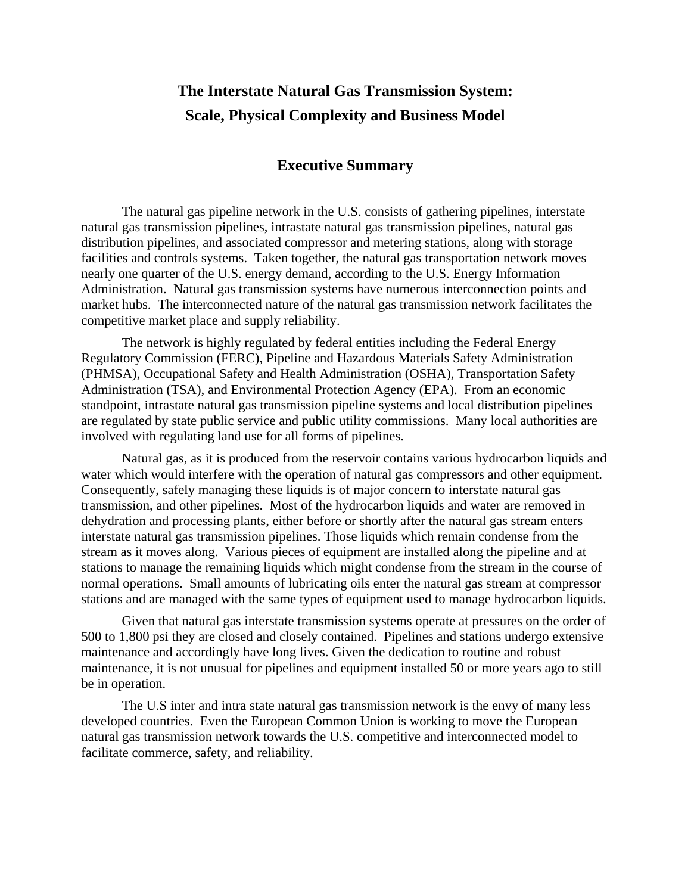# **The Interstate Natural Gas Transmission System: Scale, Physical Complexity and Business Model**

# **Executive Summary**

The natural gas pipeline network in the U.S. consists of gathering pipelines, interstate natural gas transmission pipelines, intrastate natural gas transmission pipelines, natural gas distribution pipelines, and associated compressor and metering stations, along with storage facilities and controls systems. Taken together, the natural gas transportation network moves nearly one quarter of the U.S. energy demand, according to the U.S. Energy Information Administration. Natural gas transmission systems have numerous interconnection points and market hubs. The interconnected nature of the natural gas transmission network facilitates the competitive market place and supply reliability.

The network is highly regulated by federal entities including the Federal Energy Regulatory Commission (FERC), Pipeline and Hazardous Materials Safety Administration (PHMSA), Occupational Safety and Health Administration (OSHA), Transportation Safety Administration (TSA), and Environmental Protection Agency (EPA). From an economic standpoint, intrastate natural gas transmission pipeline systems and local distribution pipelines are regulated by state public service and public utility commissions. Many local authorities are involved with regulating land use for all forms of pipelines.

Natural gas, as it is produced from the reservoir contains various hydrocarbon liquids and water which would interfere with the operation of natural gas compressors and other equipment. Consequently, safely managing these liquids is of major concern to interstate natural gas transmission, and other pipelines. Most of the hydrocarbon liquids and water are removed in dehydration and processing plants, either before or shortly after the natural gas stream enters interstate natural gas transmission pipelines. Those liquids which remain condense from the stream as it moves along. Various pieces of equipment are installed along the pipeline and at stations to manage the remaining liquids which might condense from the stream in the course of normal operations. Small amounts of lubricating oils enter the natural gas stream at compressor stations and are managed with the same types of equipment used to manage hydrocarbon liquids.

Given that natural gas interstate transmission systems operate at pressures on the order of 500 to 1,800 psi they are closed and closely contained. Pipelines and stations undergo extensive maintenance and accordingly have long lives. Given the dedication to routine and robust maintenance, it is not unusual for pipelines and equipment installed 50 or more years ago to still be in operation.

The U.S inter and intra state natural gas transmission network is the envy of many less developed countries. Even the European Common Union is working to move the European natural gas transmission network towards the U.S. competitive and interconnected model to facilitate commerce, safety, and reliability.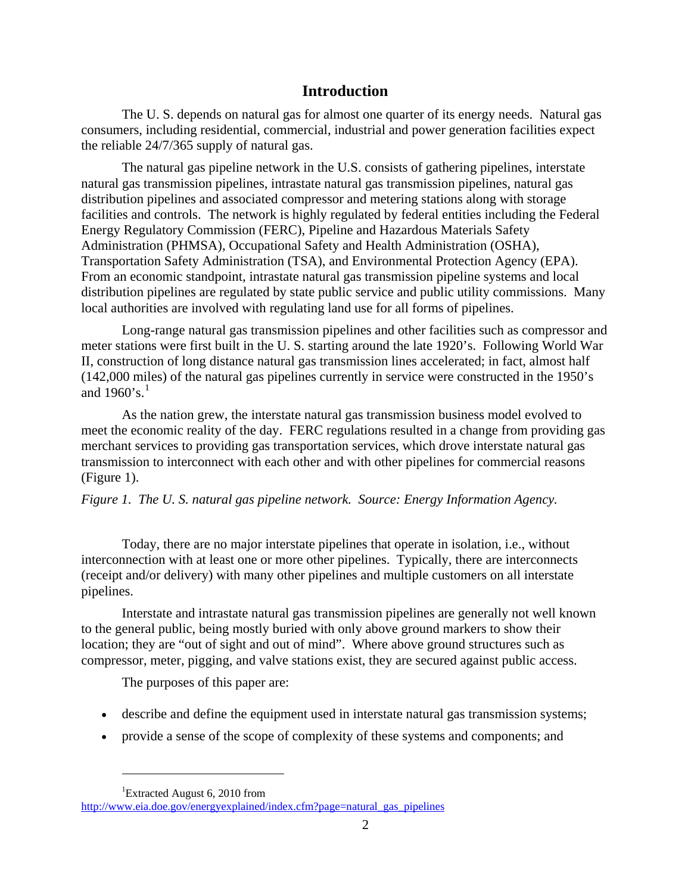# **Introduction**

The U. S. depends on natural gas for almost one quarter of its energy needs. Natural gas consumers, including residential, commercial, industrial and power generation facilities expect the reliable 24/7/365 supply of natural gas.

The natural gas pipeline network in the U.S. consists of gathering pipelines, interstate natural gas transmission pipelines, intrastate natural gas transmission pipelines, natural gas distribution pipelines and associated compressor and metering stations along with storage facilities and controls. The network is highly regulated by federal entities including the Federal Energy Regulatory Commission (FERC), Pipeline and Hazardous Materials Safety Administration (PHMSA), Occupational Safety and Health Administration (OSHA), Transportation Safety Administration (TSA), and Environmental Protection Agency (EPA). From an economic standpoint, intrastate natural gas transmission pipeline systems and local distribution pipelines are regulated by state public service and public utility commissions. Many local authorities are involved with regulating land use for all forms of pipelines.

Long-range natural gas transmission pipelines and other facilities such as compressor and meter stations were first built in the U. S. starting around the late 1920's. Following World War II, construction of long distance natural gas transmission lines accelerated; in fact, almost half (142,000 miles) of the natural gas pipelines currently in service were constructed in the 1950's and  $1960$  $1960$ 's.<sup>1</sup>

As the nation grew, the interstate natural gas transmission business model evolved to meet the economic reality of the day. FERC regulations resulted in a change from providing gas merchant services to providing gas transportation services, which drove interstate natural gas transmission to interconnect with each other and with other pipelines for commercial reasons (Figure 1).

# *Figure 1. The U. S. natural gas pipeline network. Source: Energy Information Agency.*

Today, there are no major interstate pipelines that operate in isolation, i.e., without interconnection with at least one or more other pipelines. Typically, there are interconnects (receipt and/or delivery) with many other pipelines and multiple customers on all interstate pipelines.

Interstate and intrastate natural gas transmission pipelines are generally not well known to the general public, being mostly buried with only above ground markers to show their location; they are "out of sight and out of mind". Where above ground structures such as compressor, meter, pigging, and valve stations exist, they are secured against public access.

The purposes of this paper are:

- describe and define the equipment used in interstate natural gas transmission systems;
- provide a sense of the scope of complexity of these systems and components; and

 $\overline{a}$ 

<sup>&</sup>lt;sup>1</sup>Extracted August 6, 2010 from

<span id="page-1-0"></span>[http://www.eia.doe.gov/energyexplained/index.cfm?page=natural\\_gas\\_pipelines](http://www.eia.doe.gov/energyexplained/index.cfm?page=natural_gas_pipelines)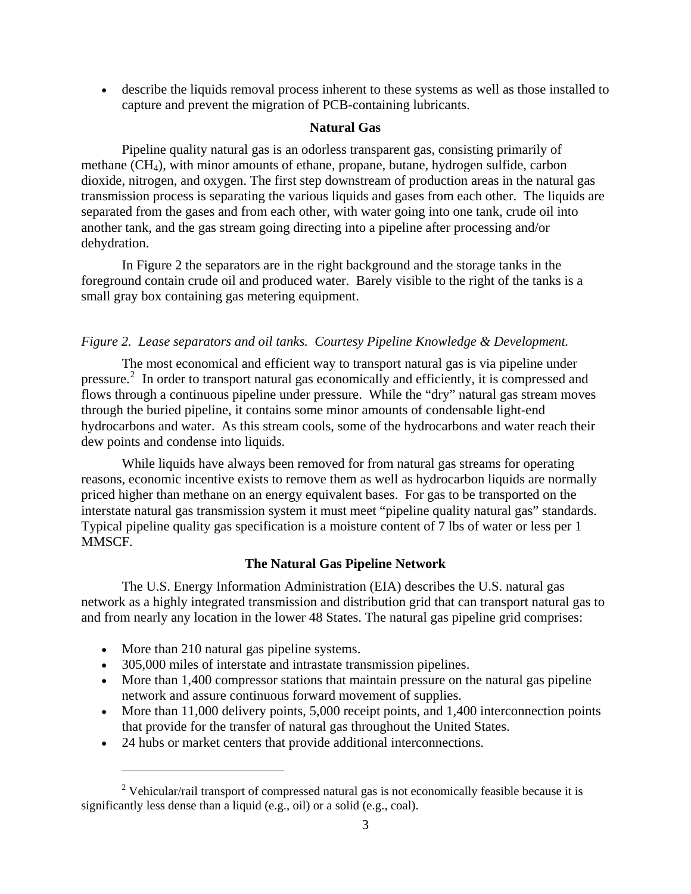• describe the liquids removal process inherent to these systems as well as those installed to capture and prevent the migration of PCB-containing lubricants.

# **Natural Gas**

Pipeline quality natural gas is an odorless transparent gas, consisting primarily of methane (CH4), with minor amounts of ethane, propane, butane, hydrogen sulfide, carbon dioxide, nitrogen, and oxygen. The first step downstream of production areas in the natural gas transmission process is separating the various liquids and gases from each other. The liquids are separated from the gases and from each other, with water going into one tank, crude oil into another tank, and the gas stream going directing into a pipeline after processing and/or dehydration.

In Figure 2 the separators are in the right background and the storage tanks in the foreground contain crude oil and produced water. Barely visible to the right of the tanks is a small gray box containing gas metering equipment.

# *Figure 2. Lease separators and oil tanks. Courtesy Pipeline Knowledge & Development.*

The most economical and efficient way to transport natural gas is via pipeline under pressure.<sup>[2](#page-2-0)</sup> In order to transport natural gas economically and efficiently, it is compressed and flows through a continuous pipeline under pressure. While the "dry" natural gas stream moves through the buried pipeline, it contains some minor amounts of condensable light-end hydrocarbons and water. As this stream cools, some of the hydrocarbons and water reach their dew points and condense into liquids.

While liquids have always been removed for from natural gas streams for operating reasons, economic incentive exists to remove them as well as hydrocarbon liquids are normally priced higher than methane on an energy equivalent bases. For gas to be transported on the interstate natural gas transmission system it must meet "pipeline quality natural gas" standards. Typical pipeline quality gas specification is a moisture content of 7 lbs of water or less per 1 MMSCF.

# **The Natural Gas Pipeline Network**

The U.S. Energy Information Administration (EIA) describes the U.S. natural gas network as a highly integrated transmission and distribution grid that can transport natural gas to and from nearly any location in the lower 48 States. The natural gas pipeline grid comprises:

• More than 210 natural gas pipeline systems.

 $\overline{a}$ 

- 305,000 miles of interstate and intrastate transmission pipelines.
- More than 1,400 compressor stations that maintain pressure on the natural gas pipeline network and assure continuous forward movement of supplies.
- More than 11,000 delivery points, 5,000 receipt points, and 1,400 interconnection points that provide for the transfer of natural gas throughout the United States.
- 24 hubs or market centers that provide additional interconnections.

<span id="page-2-0"></span><sup>&</sup>lt;sup>2</sup> Vehicular/rail transport of compressed natural gas is not economically feasible because it is significantly less dense than a liquid (e.g., oil) or a solid (e.g., coal).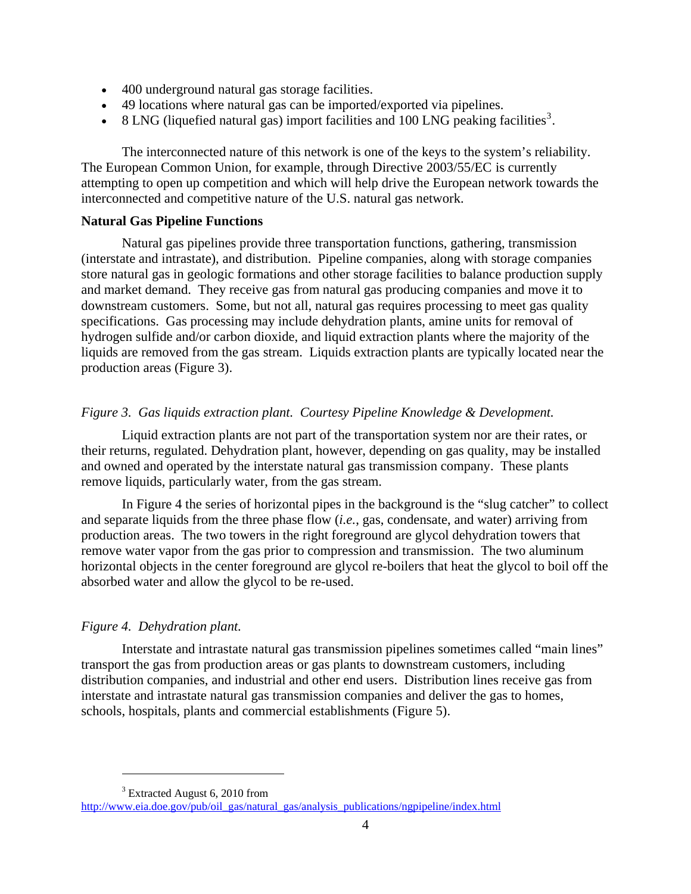- 400 underground natural gas storage facilities.
- 49 locations where natural gas can be imported/exported via pipelines.
- 8 LNG (liquefied natural gas) import facilities and  $100$  LNG peaking facilities<sup>[3](#page-3-0)</sup>.

The interconnected nature of this network is one of the keys to the system's reliability. The European Common Union, for example, through Directive 2003/55/EC is currently attempting to open up competition and which will help drive the European network towards the interconnected and competitive nature of the U.S. natural gas network.

# **Natural Gas Pipeline Functions**

Natural gas pipelines provide three transportation functions, gathering, transmission (interstate and intrastate), and distribution. Pipeline companies, along with storage companies store natural gas in geologic formations and other storage facilities to balance production supply and market demand. They receive gas from natural gas producing companies and move it to downstream customers. Some, but not all, natural gas requires processing to meet gas quality specifications. Gas processing may include dehydration plants, amine units for removal of hydrogen sulfide and/or carbon dioxide, and liquid extraction plants where the majority of the liquids are removed from the gas stream. Liquids extraction plants are typically located near the production areas (Figure 3).

# *Figure 3. Gas liquids extraction plant. Courtesy Pipeline Knowledge & Development.*

Liquid extraction plants are not part of the transportation system nor are their rates, or their returns, regulated. Dehydration plant, however, depending on gas quality, may be installed and owned and operated by the interstate natural gas transmission company. These plants remove liquids, particularly water, from the gas stream.

In Figure 4 the series of horizontal pipes in the background is the "slug catcher" to collect and separate liquids from the three phase flow (*i.e.*, gas, condensate, and water) arriving from production areas. The two towers in the right foreground are glycol dehydration towers that remove water vapor from the gas prior to compression and transmission. The two aluminum horizontal objects in the center foreground are glycol re-boilers that heat the glycol to boil off the absorbed water and allow the glycol to be re-used.

# *Figure 4. Dehydration plant.*

 $\overline{a}$ 

Interstate and intrastate natural gas transmission pipelines sometimes called "main lines" transport the gas from production areas or gas plants to downstream customers, including distribution companies, and industrial and other end users. Distribution lines receive gas from interstate and intrastate natural gas transmission companies and deliver the gas to homes, schools, hospitals, plants and commercial establishments (Figure 5).

<sup>&</sup>lt;sup>3</sup> Extracted August 6, 2010 from

<span id="page-3-0"></span>[http://www.eia.doe.gov/pub/oil\\_gas/natural\\_gas/analysis\\_publications/ngpipeline/index.html](http://www.eia.doe.gov/pub/oil_gas/natural_gas/analysis_publications/ngpipeline/index.html)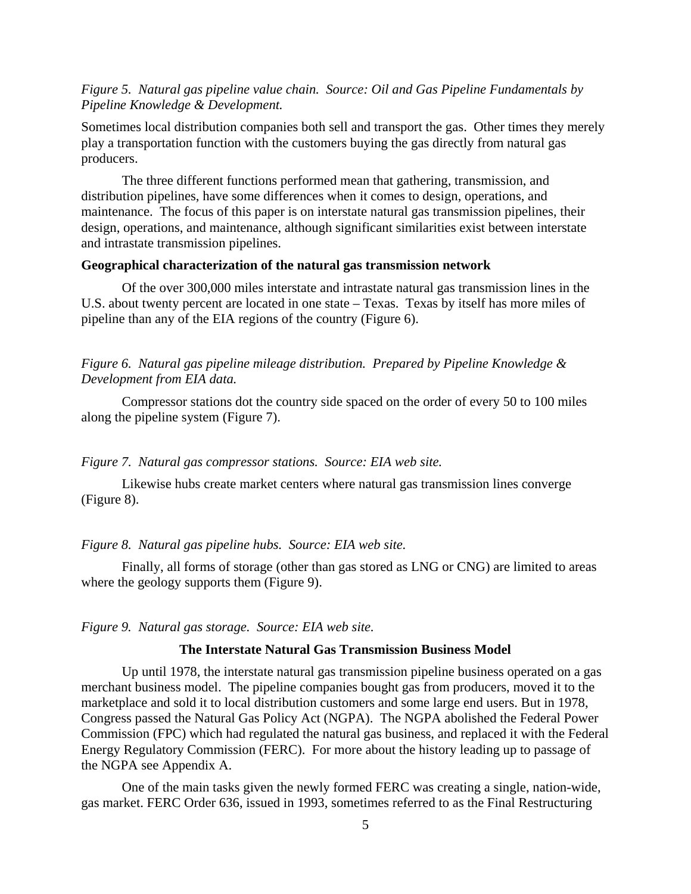# *Figure 5. Natural gas pipeline value chain. Source: Oil and Gas Pipeline Fundamentals by Pipeline Knowledge & Development.*

Sometimes local distribution companies both sell and transport the gas. Other times they merely play a transportation function with the customers buying the gas directly from natural gas producers.

The three different functions performed mean that gathering, transmission, and distribution pipelines, have some differences when it comes to design, operations, and maintenance. The focus of this paper is on interstate natural gas transmission pipelines, their design, operations, and maintenance, although significant similarities exist between interstate and intrastate transmission pipelines.

#### **Geographical characterization of the natural gas transmission network**

Of the over 300,000 miles interstate and intrastate natural gas transmission lines in the U.S. about twenty percent are located in one state – Texas. Texas by itself has more miles of pipeline than any of the EIA regions of the country (Figure 6).

*Figure 6. Natural gas pipeline mileage distribution. Prepared by Pipeline Knowledge & Development from EIA data.* 

Compressor stations dot the country side spaced on the order of every 50 to 100 miles along the pipeline system (Figure 7).

#### *Figure 7. Natural gas compressor stations. Source: EIA web site.*

Likewise hubs create market centers where natural gas transmission lines converge (Figure 8).

#### *Figure 8. Natural gas pipeline hubs. Source: EIA web site.*

Finally, all forms of storage (other than gas stored as LNG or CNG) are limited to areas where the geology supports them (Figure 9).

#### *Figure 9. Natural gas storage. Source: EIA web site.*

#### **The Interstate Natural Gas Transmission Business Model**

Up until 1978, the interstate natural gas transmission pipeline business operated on a gas merchant business model. The pipeline companies bought gas from producers, moved it to the marketplace and sold it to local distribution customers and some large end users. But in 1978, Congress passed the Natural Gas Policy Act (NGPA). The NGPA abolished the Federal Power Commission (FPC) which had regulated the natural gas business, and replaced it with the Federal Energy Regulatory Commission (FERC). For more about the history leading up to passage of the NGPA see Appendix A.

One of the main tasks given the newly formed FERC was creating a single, nation-wide, gas market. FERC Order 636, issued in 1993, sometimes referred to as the Final Restructuring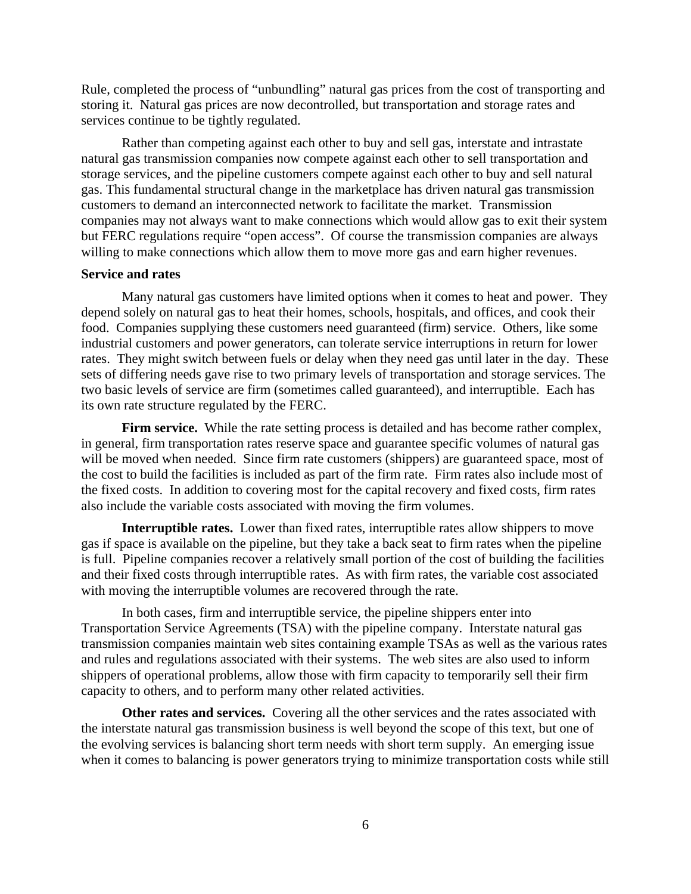Rule, completed the process of "unbundling" natural gas prices from the cost of transporting and storing it. Natural gas prices are now decontrolled, but transportation and storage rates and services continue to be tightly regulated.

Rather than competing against each other to buy and sell gas, interstate and intrastate natural gas transmission companies now compete against each other to sell transportation and storage services, and the pipeline customers compete against each other to buy and sell natural gas. This fundamental structural change in the marketplace has driven natural gas transmission customers to demand an interconnected network to facilitate the market. Transmission companies may not always want to make connections which would allow gas to exit their system but FERC regulations require "open access". Of course the transmission companies are always willing to make connections which allow them to move more gas and earn higher revenues.

#### **Service and rates**

Many natural gas customers have limited options when it comes to heat and power. They depend solely on natural gas to heat their homes, schools, hospitals, and offices, and cook their food. Companies supplying these customers need guaranteed (firm) service. Others, like some industrial customers and power generators, can tolerate service interruptions in return for lower rates. They might switch between fuels or delay when they need gas until later in the day. These sets of differing needs gave rise to two primary levels of transportation and storage services. The two basic levels of service are firm (sometimes called guaranteed), and interruptible. Each has its own rate structure regulated by the FERC.

Firm service. While the rate setting process is detailed and has become rather complex, in general, firm transportation rates reserve space and guarantee specific volumes of natural gas will be moved when needed. Since firm rate customers (shippers) are guaranteed space, most of the cost to build the facilities is included as part of the firm rate. Firm rates also include most of the fixed costs. In addition to covering most for the capital recovery and fixed costs, firm rates also include the variable costs associated with moving the firm volumes.

**Interruptible rates.** Lower than fixed rates, interruptible rates allow shippers to move gas if space is available on the pipeline, but they take a back seat to firm rates when the pipeline is full. Pipeline companies recover a relatively small portion of the cost of building the facilities and their fixed costs through interruptible rates. As with firm rates, the variable cost associated with moving the interruptible volumes are recovered through the rate.

In both cases, firm and interruptible service, the pipeline shippers enter into Transportation Service Agreements (TSA) with the pipeline company. Interstate natural gas transmission companies maintain web sites containing example TSAs as well as the various rates and rules and regulations associated with their systems. The web sites are also used to inform shippers of operational problems, allow those with firm capacity to temporarily sell their firm capacity to others, and to perform many other related activities.

**Other rates and services.** Covering all the other services and the rates associated with the interstate natural gas transmission business is well beyond the scope of this text, but one of the evolving services is balancing short term needs with short term supply. An emerging issue when it comes to balancing is power generators trying to minimize transportation costs while still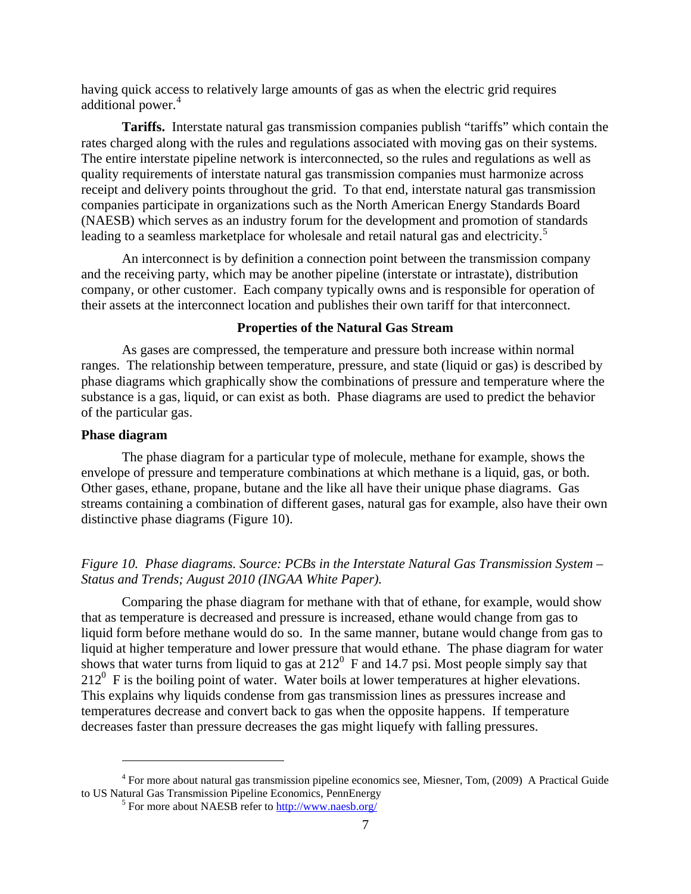having quick access to relatively large amounts of gas as when the electric grid requires additional power.<sup>[4](#page-6-0)</sup>

**Tariffs.** Interstate natural gas transmission companies publish "tariffs" which contain the rates charged along with the rules and regulations associated with moving gas on their systems. The entire interstate pipeline network is interconnected, so the rules and regulations as well as quality requirements of interstate natural gas transmission companies must harmonize across receipt and delivery points throughout the grid. To that end, interstate natural gas transmission companies participate in organizations such as the North American Energy Standards Board (NAESB) which serves as an industry forum for the development and promotion of standards leading to a seamless marketplace for wholesale and retail natural gas and electricity.<sup>[5](#page-6-1)</sup>

An interconnect is by definition a connection point between the transmission company and the receiving party, which may be another pipeline (interstate or intrastate), distribution company, or other customer. Each company typically owns and is responsible for operation of their assets at the interconnect location and publishes their own tariff for that interconnect.

#### **Properties of the Natural Gas Stream**

As gases are compressed, the temperature and pressure both increase within normal ranges. The relationship between temperature, pressure, and state (liquid or gas) is described by phase diagrams which graphically show the combinations of pressure and temperature where the substance is a gas, liquid, or can exist as both. Phase diagrams are used to predict the behavior of the particular gas.

#### **Phase diagram**

 $\overline{a}$ 

The phase diagram for a particular type of molecule, methane for example, shows the envelope of pressure and temperature combinations at which methane is a liquid, gas, or both. Other gases, ethane, propane, butane and the like all have their unique phase diagrams. Gas streams containing a combination of different gases, natural gas for example, also have their own distinctive phase diagrams (Figure 10).

# *Figure 10. Phase diagrams. Source: PCBs in the Interstate Natural Gas Transmission System – Status and Trends; August 2010 (INGAA White Paper).*

Comparing the phase diagram for methane with that of ethane, for example, would show that as temperature is decreased and pressure is increased, ethane would change from gas to liquid form before methane would do so. In the same manner, butane would change from gas to liquid at higher temperature and lower pressure that would ethane. The phase diagram for water shows that water turns from liquid to gas at  $212^{\circ}$  F and 14.7 psi. Most people simply say that  $212^{\circ}$  F is the boiling point of water. Water boils at lower temperatures at higher elevations. This explains why liquids condense from gas transmission lines as pressures increase and temperatures decrease and convert back to gas when the opposite happens. If temperature decreases faster than pressure decreases the gas might liquefy with falling pressures.

<span id="page-6-1"></span><span id="page-6-0"></span><sup>&</sup>lt;sup>4</sup> For more about natural gas transmission pipeline economics see, Miesner, Tom, (2009) A Practical Guide to US Natural Gas Transmission Pipeline Economics, PennEnergy 5

<sup>&</sup>lt;sup>5</sup> For more about NAESB refer to <http://www.naesb.org/>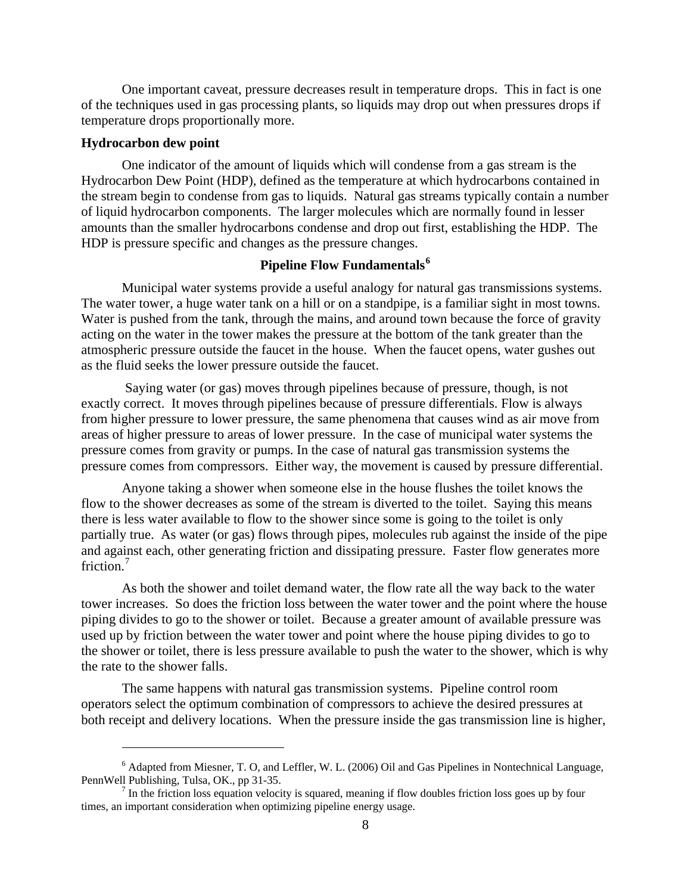One important caveat, pressure decreases result in temperature drops. This in fact is one of the techniques used in gas processing plants, so liquids may drop out when pressures drops if temperature drops proportionally more.

#### **Hydrocarbon dew point**

 $\overline{a}$ 

One indicator of the amount of liquids which will condense from a gas stream is the Hydrocarbon Dew Point (HDP), defined as the temperature at which hydrocarbons contained in the stream begin to condense from gas to liquids. Natural gas streams typically contain a number of liquid hydrocarbon components. The larger molecules which are normally found in lesser amounts than the smaller hydrocarbons condense and drop out first, establishing the HDP. The HDP is pressure specific and changes as the pressure changes.

# **Pipeline Flow Fundamentals[6](#page-7-0)**

Municipal water systems provide a useful analogy for natural gas transmissions systems. The water tower, a huge water tank on a hill or on a standpipe, is a familiar sight in most towns. Water is pushed from the tank, through the mains, and around town because the force of gravity acting on the water in the tower makes the pressure at the bottom of the tank greater than the atmospheric pressure outside the faucet in the house. When the faucet opens, water gushes out as the fluid seeks the lower pressure outside the faucet.

 Saying water (or gas) moves through pipelines because of pressure, though, is not exactly correct. It moves through pipelines because of pressure differentials. Flow is always from higher pressure to lower pressure, the same phenomena that causes wind as air move from areas of higher pressure to areas of lower pressure. In the case of municipal water systems the pressure comes from gravity or pumps. In the case of natural gas transmission systems the pressure comes from compressors. Either way, the movement is caused by pressure differential.

Anyone taking a shower when someone else in the house flushes the toilet knows the flow to the shower decreases as some of the stream is diverted to the toilet. Saying this means there is less water available to flow to the shower since some is going to the toilet is only partially true. As water (or gas) flows through pipes, molecules rub against the inside of the pipe and against each, other generating friction and dissipating pressure. Faster flow generates more friction.<sup>[7](#page-7-1)</sup>

As both the shower and toilet demand water, the flow rate all the way back to the water tower increases. So does the friction loss between the water tower and the point where the house piping divides to go to the shower or toilet. Because a greater amount of available pressure was used up by friction between the water tower and point where the house piping divides to go to the shower or toilet, there is less pressure available to push the water to the shower, which is why the rate to the shower falls.

The same happens with natural gas transmission systems. Pipeline control room operators select the optimum combination of compressors to achieve the desired pressures at both receipt and delivery locations. When the pressure inside the gas transmission line is higher,

<span id="page-7-0"></span> $6$  Adapted from Miesner, T. O, and Leffler, W. L. (2006) Oil and Gas Pipelines in Nontechnical Language, PennWell Publishing, Tulsa, OK., pp 31-35.

<span id="page-7-1"></span> $<sup>7</sup>$  In the friction loss equation velocity is squared, meaning if flow doubles friction loss goes up by four</sup> times, an important consideration when optimizing pipeline energy usage.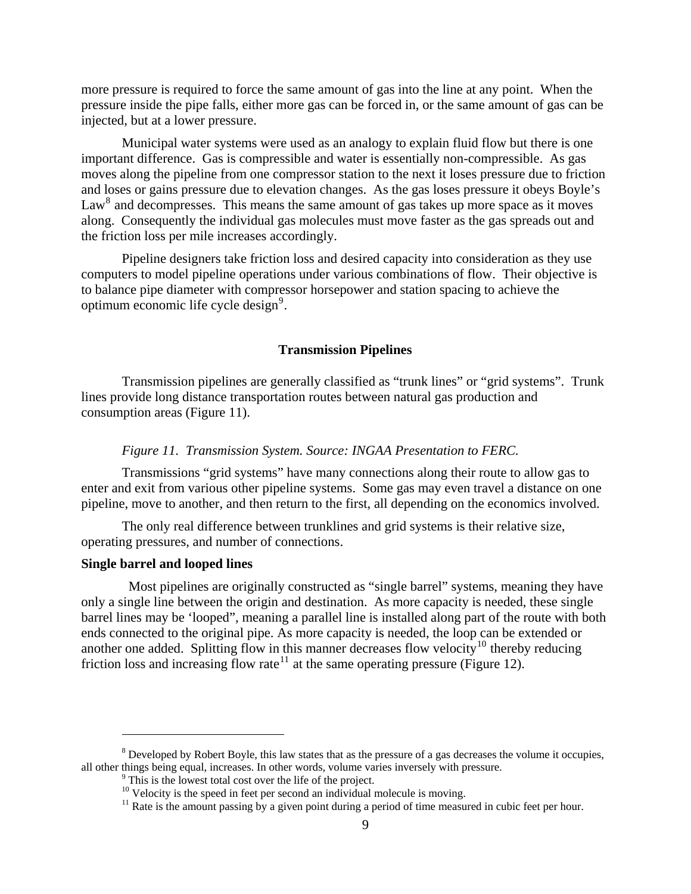more pressure is required to force the same amount of gas into the line at any point. When the pressure inside the pipe falls, either more gas can be forced in, or the same amount of gas can be injected, but at a lower pressure.

Municipal water systems were used as an analogy to explain fluid flow but there is one important difference. Gas is compressible and water is essentially non-compressible. As gas moves along the pipeline from one compressor station to the next it loses pressure due to friction and loses or gains pressure due to elevation changes. As the gas loses pressure it obeys Boyle's  $Law<sup>8</sup>$  $Law<sup>8</sup>$  $Law<sup>8</sup>$  and decompresses. This means the same amount of gas takes up more space as it moves along. Consequently the individual gas molecules must move faster as the gas spreads out and the friction loss per mile increases accordingly.

Pipeline designers take friction loss and desired capacity into consideration as they use computers to model pipeline operations under various combinations of flow. Their objective is to balance pipe diameter with compressor horsepower and station spacing to achieve the optimum economic life cycle design<sup>[9](#page-8-1)</sup>.

#### **Transmission Pipelines**

 Transmission pipelines are generally classified as "trunk lines" or "grid systems". Trunk lines provide long distance transportation routes between natural gas production and consumption areas (Figure 11).

#### *Figure 11. Transmission System. Source: INGAA Presentation to FERC.*

Transmissions "grid systems" have many connections along their route to allow gas to enter and exit from various other pipeline systems. Some gas may even travel a distance on one pipeline, move to another, and then return to the first, all depending on the economics involved.

The only real difference between trunklines and grid systems is their relative size, operating pressures, and number of connections.

# **Single barrel and looped lines**

1

 Most pipelines are originally constructed as "single barrel" systems, meaning they have only a single line between the origin and destination. As more capacity is needed, these single barrel lines may be 'looped", meaning a parallel line is installed along part of the route with both ends connected to the original pipe. As more capacity is needed, the loop can be extended or another one added. Splitting flow in this manner decreases flow velocity<sup>[10](#page-8-2)</sup> thereby reducing friction loss and increasing flow rate<sup>[11](#page-8-3)</sup> at the same operating pressure (Figure 12).

<span id="page-8-3"></span><span id="page-8-2"></span><span id="page-8-1"></span><span id="page-8-0"></span> $8$  Developed by Robert Boyle, this law states that as the pressure of a gas decreases the volume it occupies, all other things being equal, increases. In other words, volume varies inversely with pressure.

<sup>&</sup>lt;sup>9</sup> This is the lowest total cost over the life of the project.

<sup>&</sup>lt;sup>10</sup> Velocity is the speed in feet per second an individual molecule is moving.

<sup>&</sup>lt;sup>11</sup> Rate is the amount passing by a given point during a period of time measured in cubic feet per hour.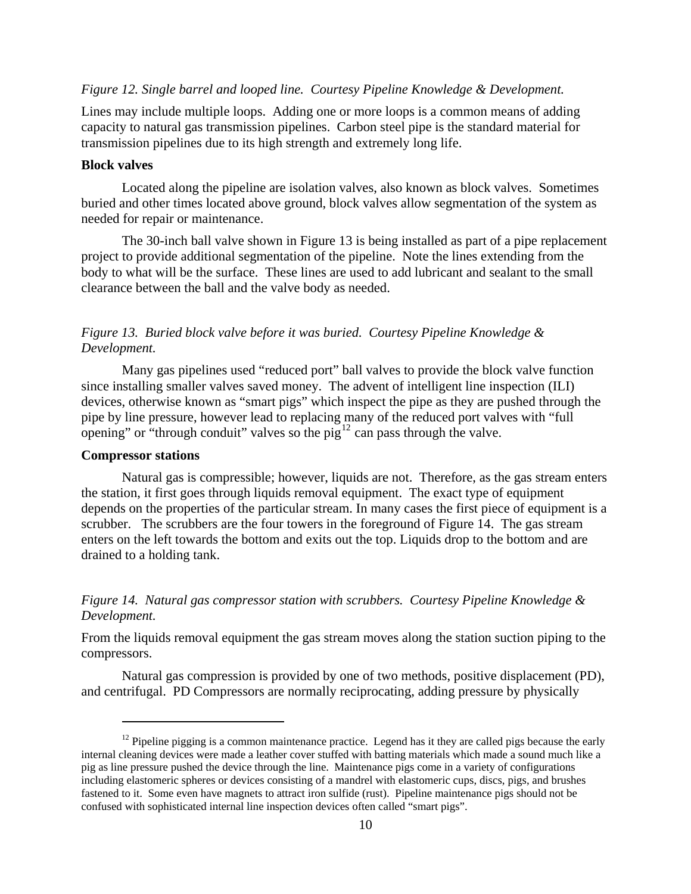#### *Figure 12. Single barrel and looped line. Courtesy Pipeline Knowledge & Development.*

Lines may include multiple loops. Adding one or more loops is a common means of adding capacity to natural gas transmission pipelines. Carbon steel pipe is the standard material for transmission pipelines due to its high strength and extremely long life.

#### **Block valves**

Located along the pipeline are isolation valves, also known as block valves. Sometimes buried and other times located above ground, block valves allow segmentation of the system as needed for repair or maintenance.

The 30-inch ball valve shown in Figure 13 is being installed as part of a pipe replacement project to provide additional segmentation of the pipeline. Note the lines extending from the body to what will be the surface. These lines are used to add lubricant and sealant to the small clearance between the ball and the valve body as needed.

# *Figure 13. Buried block valve before it was buried. Courtesy Pipeline Knowledge & Development.*

Many gas pipelines used "reduced port" ball valves to provide the block valve function since installing smaller valves saved money. The advent of intelligent line inspection (ILI) devices, otherwise known as "smart pigs" which inspect the pipe as they are pushed through the pipe by line pressure, however lead to replacing many of the reduced port valves with "full opening" or "through conduit" valves so the pig<sup>[12](#page-9-0)</sup> can pass through the valve.

#### **Compressor stations**

 $\overline{a}$ 

Natural gas is compressible; however, liquids are not. Therefore, as the gas stream enters the station, it first goes through liquids removal equipment. The exact type of equipment depends on the properties of the particular stream. In many cases the first piece of equipment is a scrubber. The scrubbers are the four towers in the foreground of Figure 14. The gas stream enters on the left towards the bottom and exits out the top. Liquids drop to the bottom and are drained to a holding tank.

# *Figure 14. Natural gas compressor station with scrubbers. Courtesy Pipeline Knowledge & Development.*

From the liquids removal equipment the gas stream moves along the station suction piping to the compressors.

Natural gas compression is provided by one of two methods, positive displacement (PD), and centrifugal. PD Compressors are normally reciprocating, adding pressure by physically

<span id="page-9-0"></span> $12$  Pipeline pigging is a common maintenance practice. Legend has it they are called pigs because the early internal cleaning devices were made a leather cover stuffed with batting materials which made a sound much like a pig as line pressure pushed the device through the line. Maintenance pigs come in a variety of configurations including elastomeric spheres or devices consisting of a mandrel with elastomeric cups, discs, pigs, and brushes fastened to it. Some even have magnets to attract iron sulfide (rust). Pipeline maintenance pigs should not be confused with sophisticated internal line inspection devices often called "smart pigs".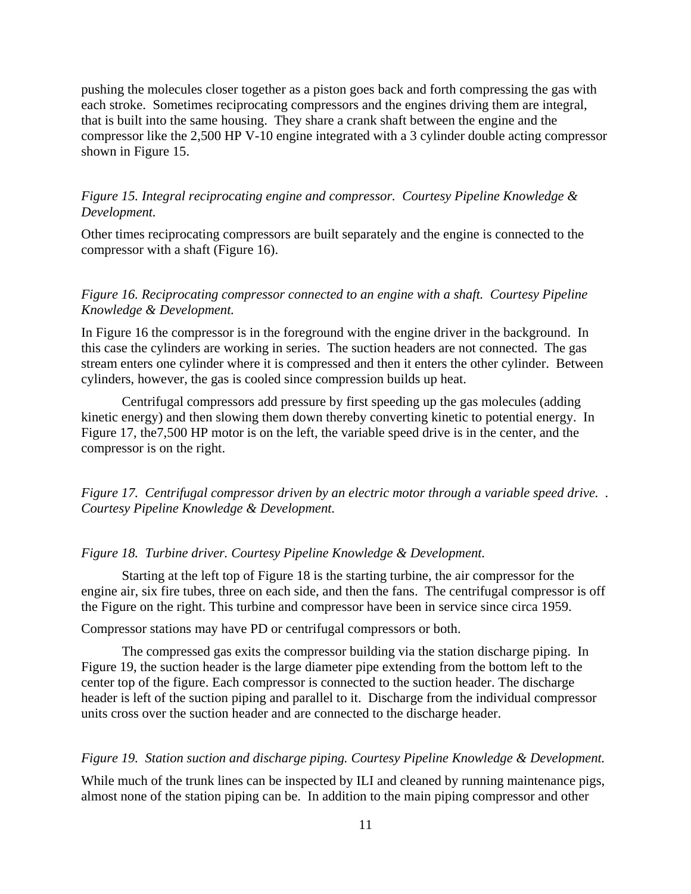pushing the molecules closer together as a piston goes back and forth compressing the gas with each stroke. Sometimes reciprocating compressors and the engines driving them are integral, that is built into the same housing. They share a crank shaft between the engine and the compressor like the 2,500 HP V-10 engine integrated with a 3 cylinder double acting compressor shown in Figure 15.

# *Figure 15. Integral reciprocating engine and compressor. Courtesy Pipeline Knowledge & Development.*

Other times reciprocating compressors are built separately and the engine is connected to the compressor with a shaft (Figure 16).

# *Figure 16. Reciprocating compressor connected to an engine with a shaft. Courtesy Pipeline Knowledge & Development.*

In Figure 16 the compressor is in the foreground with the engine driver in the background. In this case the cylinders are working in series. The suction headers are not connected. The gas stream enters one cylinder where it is compressed and then it enters the other cylinder. Between cylinders, however, the gas is cooled since compression builds up heat.

Centrifugal compressors add pressure by first speeding up the gas molecules (adding kinetic energy) and then slowing them down thereby converting kinetic to potential energy. In Figure 17, the7,500 HP motor is on the left, the variable speed drive is in the center, and the compressor is on the right.

*Figure 17. Centrifugal compressor driven by an electric motor through a variable speed drive. . Courtesy Pipeline Knowledge & Development.* 

#### *Figure 18. Turbine driver. Courtesy Pipeline Knowledge & Development.*

Starting at the left top of Figure 18 is the starting turbine, the air compressor for the engine air, six fire tubes, three on each side, and then the fans. The centrifugal compressor is off the Figure on the right. This turbine and compressor have been in service since circa 1959.

Compressor stations may have PD or centrifugal compressors or both.

The compressed gas exits the compressor building via the station discharge piping. In Figure 19, the suction header is the large diameter pipe extending from the bottom left to the center top of the figure. Each compressor is connected to the suction header. The discharge header is left of the suction piping and parallel to it. Discharge from the individual compressor units cross over the suction header and are connected to the discharge header.

#### *Figure 19. Station suction and discharge piping. Courtesy Pipeline Knowledge & Development.*

While much of the trunk lines can be inspected by ILI and cleaned by running maintenance pigs, almost none of the station piping can be. In addition to the main piping compressor and other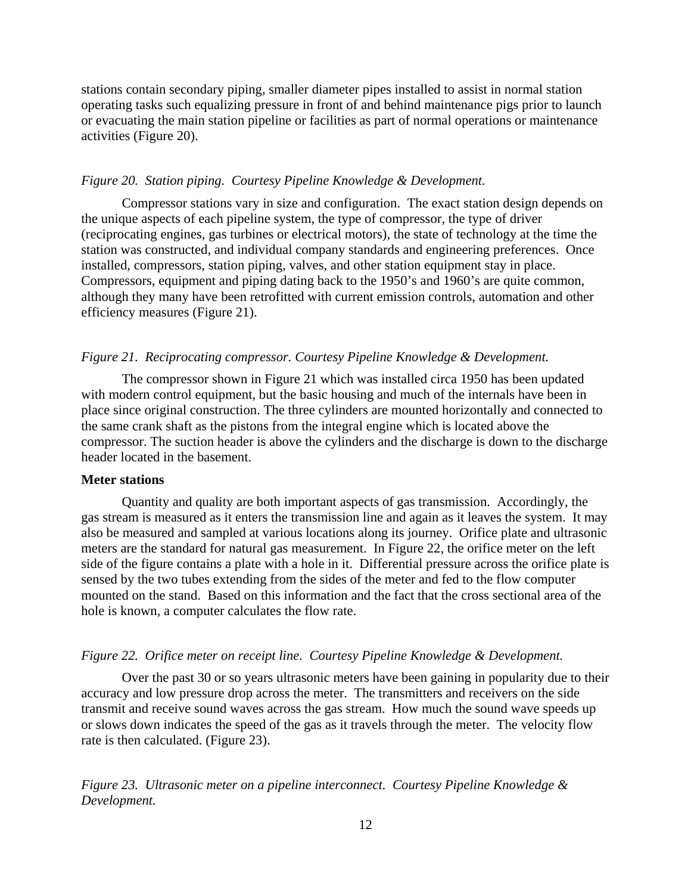stations contain secondary piping, smaller diameter pipes installed to assist in normal station operating tasks such equalizing pressure in front of and behind maintenance pigs prior to launch or evacuating the main station pipeline or facilities as part of normal operations or maintenance activities (Figure 20).

#### *Figure 20. Station piping. Courtesy Pipeline Knowledge & Development.*

Compressor stations vary in size and configuration. The exact station design depends on the unique aspects of each pipeline system, the type of compressor, the type of driver (reciprocating engines, gas turbines or electrical motors), the state of technology at the time the station was constructed, and individual company standards and engineering preferences. Once installed, compressors, station piping, valves, and other station equipment stay in place. Compressors, equipment and piping dating back to the 1950's and 1960's are quite common, although they many have been retrofitted with current emission controls, automation and other efficiency measures (Figure 21).

# *Figure 21. Reciprocating compressor. Courtesy Pipeline Knowledge & Development.*

The compressor shown in Figure 21 which was installed circa 1950 has been updated with modern control equipment, but the basic housing and much of the internals have been in place since original construction. The three cylinders are mounted horizontally and connected to the same crank shaft as the pistons from the integral engine which is located above the compressor. The suction header is above the cylinders and the discharge is down to the discharge header located in the basement.

#### **Meter stations**

Quantity and quality are both important aspects of gas transmission. Accordingly, the gas stream is measured as it enters the transmission line and again as it leaves the system. It may also be measured and sampled at various locations along its journey. Orifice plate and ultrasonic meters are the standard for natural gas measurement. In Figure 22, the orifice meter on the left side of the figure contains a plate with a hole in it. Differential pressure across the orifice plate is sensed by the two tubes extending from the sides of the meter and fed to the flow computer mounted on the stand. Based on this information and the fact that the cross sectional area of the hole is known, a computer calculates the flow rate.

#### *Figure 22. Orifice meter on receipt line. Courtesy Pipeline Knowledge & Development.*

Over the past 30 or so years ultrasonic meters have been gaining in popularity due to their accuracy and low pressure drop across the meter. The transmitters and receivers on the side transmit and receive sound waves across the gas stream. How much the sound wave speeds up or slows down indicates the speed of the gas as it travels through the meter. The velocity flow rate is then calculated. (Figure 23).

*Figure 23. Ultrasonic meter on a pipeline interconnect. Courtesy Pipeline Knowledge & Development.*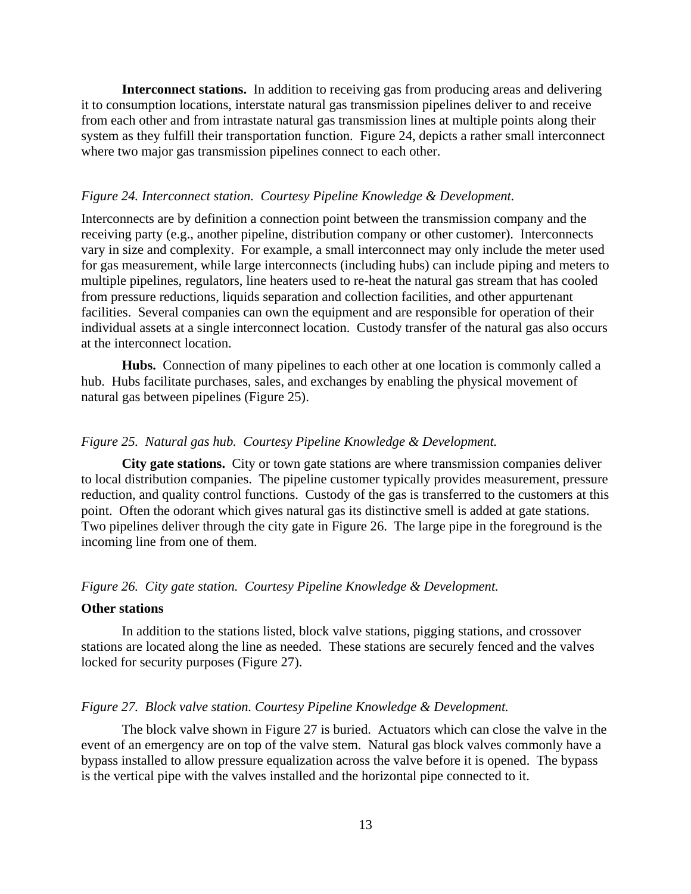**Interconnect stations.** In addition to receiving gas from producing areas and delivering it to consumption locations, interstate natural gas transmission pipelines deliver to and receive from each other and from intrastate natural gas transmission lines at multiple points along their system as they fulfill their transportation function. Figure 24, depicts a rather small interconnect where two major gas transmission pipelines connect to each other.

#### *Figure 24. Interconnect station. Courtesy Pipeline Knowledge & Development.*

Interconnects are by definition a connection point between the transmission company and the receiving party (e.g., another pipeline, distribution company or other customer). Interconnects vary in size and complexity. For example, a small interconnect may only include the meter used for gas measurement, while large interconnects (including hubs) can include piping and meters to multiple pipelines, regulators, line heaters used to re-heat the natural gas stream that has cooled from pressure reductions, liquids separation and collection facilities, and other appurtenant facilities. Several companies can own the equipment and are responsible for operation of their individual assets at a single interconnect location. Custody transfer of the natural gas also occurs at the interconnect location.

**Hubs.** Connection of many pipelines to each other at one location is commonly called a hub. Hubs facilitate purchases, sales, and exchanges by enabling the physical movement of natural gas between pipelines (Figure 25).

#### *Figure 25. Natural gas hub. Courtesy Pipeline Knowledge & Development.*

**City gate stations.** City or town gate stations are where transmission companies deliver to local distribution companies. The pipeline customer typically provides measurement, pressure reduction, and quality control functions. Custody of the gas is transferred to the customers at this point. Often the odorant which gives natural gas its distinctive smell is added at gate stations. Two pipelines deliver through the city gate in Figure 26. The large pipe in the foreground is the incoming line from one of them.

#### *Figure 26. City gate station. Courtesy Pipeline Knowledge & Development.*

#### **Other stations**

In addition to the stations listed, block valve stations, pigging stations, and crossover stations are located along the line as needed. These stations are securely fenced and the valves locked for security purposes (Figure 27).

#### *Figure 27. Block valve station. Courtesy Pipeline Knowledge & Development.*

The block valve shown in Figure 27 is buried. Actuators which can close the valve in the event of an emergency are on top of the valve stem. Natural gas block valves commonly have a bypass installed to allow pressure equalization across the valve before it is opened. The bypass is the vertical pipe with the valves installed and the horizontal pipe connected to it.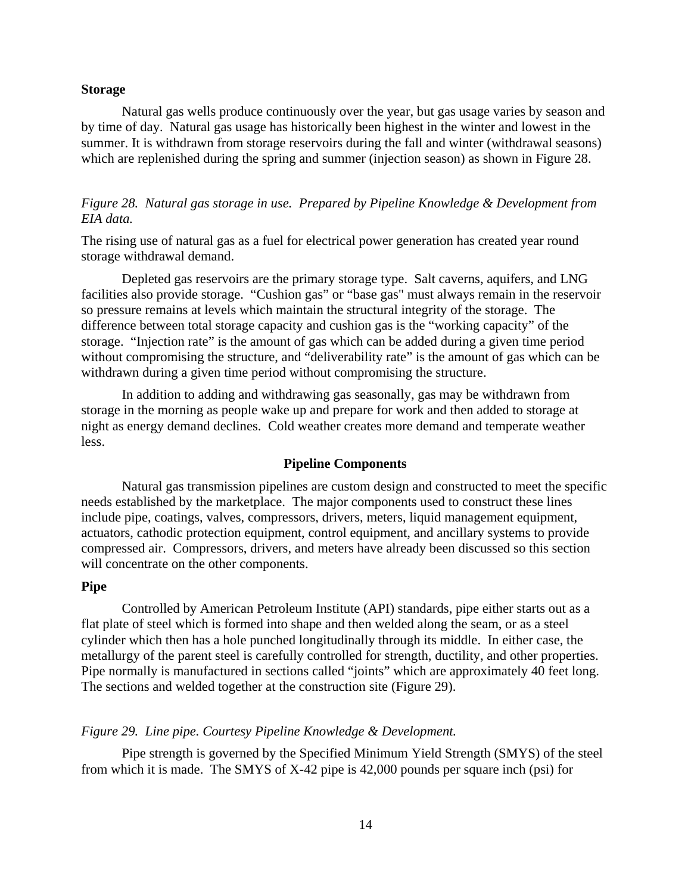#### **Storage**

Natural gas wells produce continuously over the year, but gas usage varies by season and by time of day. Natural gas usage has historically been highest in the winter and lowest in the summer. It is withdrawn from storage reservoirs during the fall and winter (withdrawal seasons) which are replenished during the spring and summer (injection season) as shown in Figure 28.

# *Figure 28. Natural gas storage in use. Prepared by Pipeline Knowledge & Development from EIA data.*

The rising use of natural gas as a fuel for electrical power generation has created year round storage withdrawal demand.

Depleted gas reservoirs are the primary storage type. Salt caverns, aquifers, and LNG facilities also provide storage. "Cushion gas" or "base gas" must always remain in the reservoir so pressure remains at levels which maintain the structural integrity of the storage. The difference between total storage capacity and cushion gas is the "working capacity" of the storage. "Injection rate" is the amount of gas which can be added during a given time period without compromising the structure, and "deliverability rate" is the amount of gas which can be withdrawn during a given time period without compromising the structure.

In addition to adding and withdrawing gas seasonally, gas may be withdrawn from storage in the morning as people wake up and prepare for work and then added to storage at night as energy demand declines. Cold weather creates more demand and temperate weather less.

#### **Pipeline Components**

Natural gas transmission pipelines are custom design and constructed to meet the specific needs established by the marketplace. The major components used to construct these lines include pipe, coatings, valves, compressors, drivers, meters, liquid management equipment, actuators, cathodic protection equipment, control equipment, and ancillary systems to provide compressed air. Compressors, drivers, and meters have already been discussed so this section will concentrate on the other components.

#### **Pipe**

Controlled by American Petroleum Institute (API) standards, pipe either starts out as a flat plate of steel which is formed into shape and then welded along the seam, or as a steel cylinder which then has a hole punched longitudinally through its middle. In either case, the metallurgy of the parent steel is carefully controlled for strength, ductility, and other properties. Pipe normally is manufactured in sections called "joints" which are approximately 40 feet long. The sections and welded together at the construction site (Figure 29).

#### *Figure 29. Line pipe. Courtesy Pipeline Knowledge & Development.*

Pipe strength is governed by the Specified Minimum Yield Strength (SMYS) of the steel from which it is made. The SMYS of X-42 pipe is 42,000 pounds per square inch (psi) for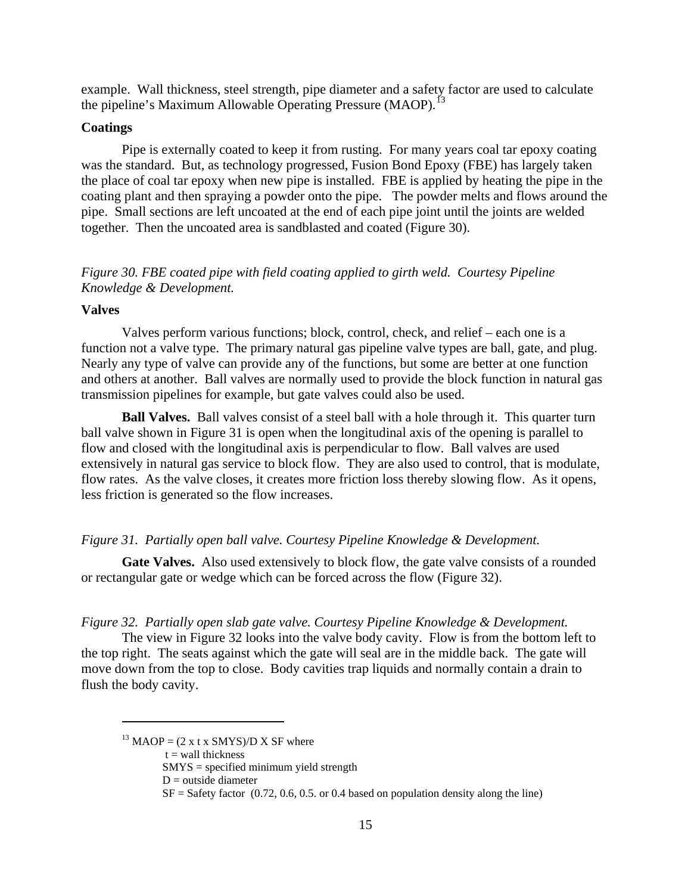example. Wall thickness, steel strength, pipe diameter and a safety factor are used to calculate the pipeline's Maximum Allowable Operating Pressure (MAOP).<sup>[13](#page-14-0)</sup>

### **Coatings**

Pipe is externally coated to keep it from rusting. For many years coal tar epoxy coating was the standard. But, as technology progressed, Fusion Bond Epoxy (FBE) has largely taken the place of coal tar epoxy when new pipe is installed. FBE is applied by heating the pipe in the coating plant and then spraying a powder onto the pipe. The powder melts and flows around the pipe. Small sections are left uncoated at the end of each pipe joint until the joints are welded together. Then the uncoated area is sandblasted and coated (Figure 30).

*Figure 30. FBE coated pipe with field coating applied to girth weld. Courtesy Pipeline Knowledge & Development.* 

# **Valves**

Valves perform various functions; block, control, check, and relief – each one is a function not a valve type. The primary natural gas pipeline valve types are ball, gate, and plug. Nearly any type of valve can provide any of the functions, but some are better at one function and others at another. Ball valves are normally used to provide the block function in natural gas transmission pipelines for example, but gate valves could also be used.

**Ball Valves.** Ball valves consist of a steel ball with a hole through it. This quarter turn ball valve shown in Figure 31 is open when the longitudinal axis of the opening is parallel to flow and closed with the longitudinal axis is perpendicular to flow. Ball valves are used extensively in natural gas service to block flow. They are also used to control, that is modulate, flow rates. As the valve closes, it creates more friction loss thereby slowing flow. As it opens, less friction is generated so the flow increases.

#### *Figure 31. Partially open ball valve. Courtesy Pipeline Knowledge & Development.*

**Gate Valves.** Also used extensively to block flow, the gate valve consists of a rounded or rectangular gate or wedge which can be forced across the flow (Figure 32).

*Figure 32. Partially open slab gate valve. Courtesy Pipeline Knowledge & Development.* 

The view in Figure 32 looks into the valve body cavity. Flow is from the bottom left to the top right. The seats against which the gate will seal are in the middle back. The gate will move down from the top to close. Body cavities trap liquids and normally contain a drain to flush the body cavity.

 $t =$  wall thickness

 $\overline{a}$ 

<span id="page-14-0"></span><sup>&</sup>lt;sup>13</sup> MAOP =  $(2 \times t \times \text{SMYS})$ /D X SF where

SMYS = specified minimum yield strength

 $D$  = outside diameter

 $SF = Safety factor (0.72, 0.6, 0.5. or 0.4 based on population density along the line)$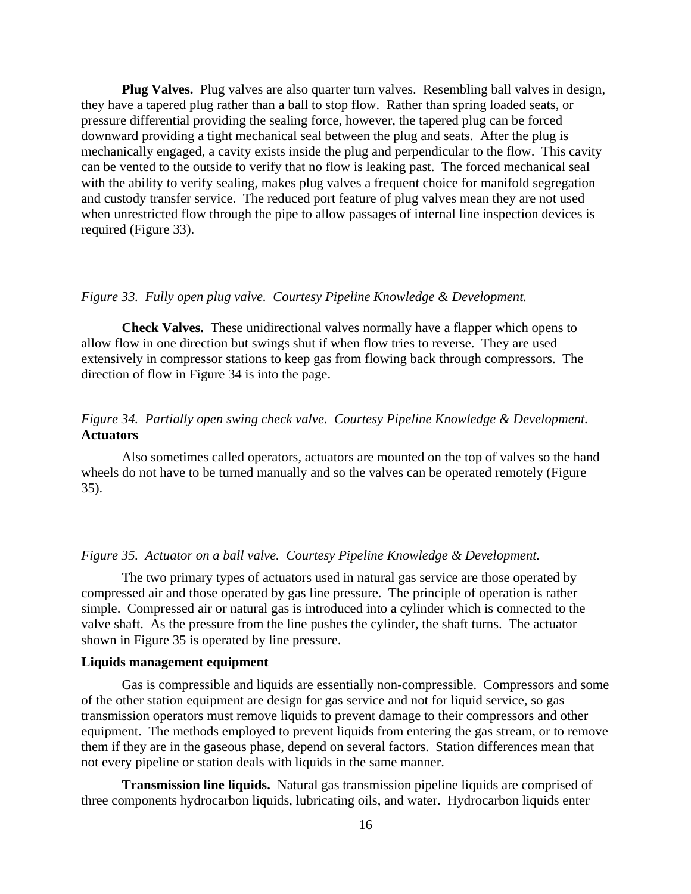**Plug Valves.** Plug valves are also quarter turn valves. Resembling ball valves in design, they have a tapered plug rather than a ball to stop flow. Rather than spring loaded seats, or pressure differential providing the sealing force, however, the tapered plug can be forced downward providing a tight mechanical seal between the plug and seats. After the plug is mechanically engaged, a cavity exists inside the plug and perpendicular to the flow. This cavity can be vented to the outside to verify that no flow is leaking past. The forced mechanical seal with the ability to verify sealing, makes plug valves a frequent choice for manifold segregation and custody transfer service. The reduced port feature of plug valves mean they are not used when unrestricted flow through the pipe to allow passages of internal line inspection devices is required (Figure 33).

#### *Figure 33. Fully open plug valve. Courtesy Pipeline Knowledge & Development.*

**Check Valves.** These unidirectional valves normally have a flapper which opens to allow flow in one direction but swings shut if when flow tries to reverse. They are used extensively in compressor stations to keep gas from flowing back through compressors. The direction of flow in Figure 34 is into the page.

# *Figure 34. Partially open swing check valve. Courtesy Pipeline Knowledge & Development.*  **Actuators**

Also sometimes called operators, actuators are mounted on the top of valves so the hand wheels do not have to be turned manually and so the valves can be operated remotely (Figure 35).

#### *Figure 35. Actuator on a ball valve. Courtesy Pipeline Knowledge & Development.*

The two primary types of actuators used in natural gas service are those operated by compressed air and those operated by gas line pressure. The principle of operation is rather simple. Compressed air or natural gas is introduced into a cylinder which is connected to the valve shaft. As the pressure from the line pushes the cylinder, the shaft turns. The actuator shown in Figure 35 is operated by line pressure.

#### **Liquids management equipment**

Gas is compressible and liquids are essentially non-compressible. Compressors and some of the other station equipment are design for gas service and not for liquid service, so gas transmission operators must remove liquids to prevent damage to their compressors and other equipment. The methods employed to prevent liquids from entering the gas stream, or to remove them if they are in the gaseous phase, depend on several factors. Station differences mean that not every pipeline or station deals with liquids in the same manner.

**Transmission line liquids.** Natural gas transmission pipeline liquids are comprised of three components hydrocarbon liquids, lubricating oils, and water. Hydrocarbon liquids enter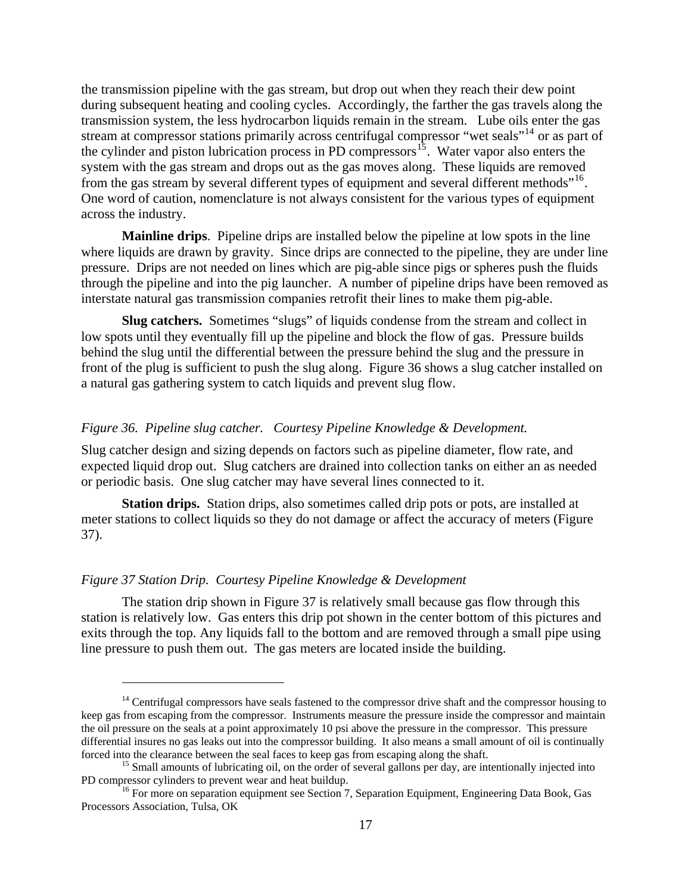the transmission pipeline with the gas stream, but drop out when they reach their dew point during subsequent heating and cooling cycles. Accordingly, the farther the gas travels along the transmission system, the less hydrocarbon liquids remain in the stream. Lube oils enter the gas stream at compressor stations primarily across centrifugal compressor "wet seals"<sup>[14](#page-16-0)</sup> or as part of the cylinder and piston lubrication process in PD compressors<sup>[15](#page-16-1)</sup>. Water vapor also enters the system with the gas stream and drops out as the gas moves along. These liquids are removed from the gas stream by several different types of equipment and several different methods"<sup>[16](#page-16-2)</sup>. One word of caution, nomenclature is not always consistent for the various types of equipment across the industry.

**Mainline drips**. Pipeline drips are installed below the pipeline at low spots in the line where liquids are drawn by gravity. Since drips are connected to the pipeline, they are under line pressure. Drips are not needed on lines which are pig-able since pigs or spheres push the fluids through the pipeline and into the pig launcher. A number of pipeline drips have been removed as interstate natural gas transmission companies retrofit their lines to make them pig-able.

**Slug catchers.** Sometimes "slugs" of liquids condense from the stream and collect in low spots until they eventually fill up the pipeline and block the flow of gas. Pressure builds behind the slug until the differential between the pressure behind the slug and the pressure in front of the plug is sufficient to push the slug along. Figure 36 shows a slug catcher installed on a natural gas gathering system to catch liquids and prevent slug flow.

# *Figure 36. Pipeline slug catcher. Courtesy Pipeline Knowledge & Development.*

Slug catcher design and sizing depends on factors such as pipeline diameter, flow rate, and expected liquid drop out. Slug catchers are drained into collection tanks on either an as needed or periodic basis. One slug catcher may have several lines connected to it.

**Station drips.** Station drips, also sometimes called drip pots or pots, are installed at meter stations to collect liquids so they do not damage or affect the accuracy of meters (Figure 37).

# *Figure 37 Station Drip. Courtesy Pipeline Knowledge & Development*

 $\overline{a}$ 

The station drip shown in Figure 37 is relatively small because gas flow through this station is relatively low. Gas enters this drip pot shown in the center bottom of this pictures and exits through the top. Any liquids fall to the bottom and are removed through a small pipe using line pressure to push them out. The gas meters are located inside the building.

<span id="page-16-0"></span> $14$  Centrifugal compressors have seals fastened to the compressor drive shaft and the compressor housing to keep gas from escaping from the compressor. Instruments measure the pressure inside the compressor and maintain the oil pressure on the seals at a point approximately 10 psi above the pressure in the compressor. This pressure differential insures no gas leaks out into the compressor building. It also means a small amount of oil is continually

<span id="page-16-1"></span>forced into the clearance between the seal faces to keep gas from escaping along the shaft.<br><sup>15</sup> Small amounts of lubricating oil, on the order of several gallons per day, are intentionally injected into<br>PD compressor cyli

<span id="page-16-2"></span><sup>&</sup>lt;sup>16</sup> For more on separation equipment see Section 7, Separation Equipment, Engineering Data Book, Gas Processors Association, Tulsa, OK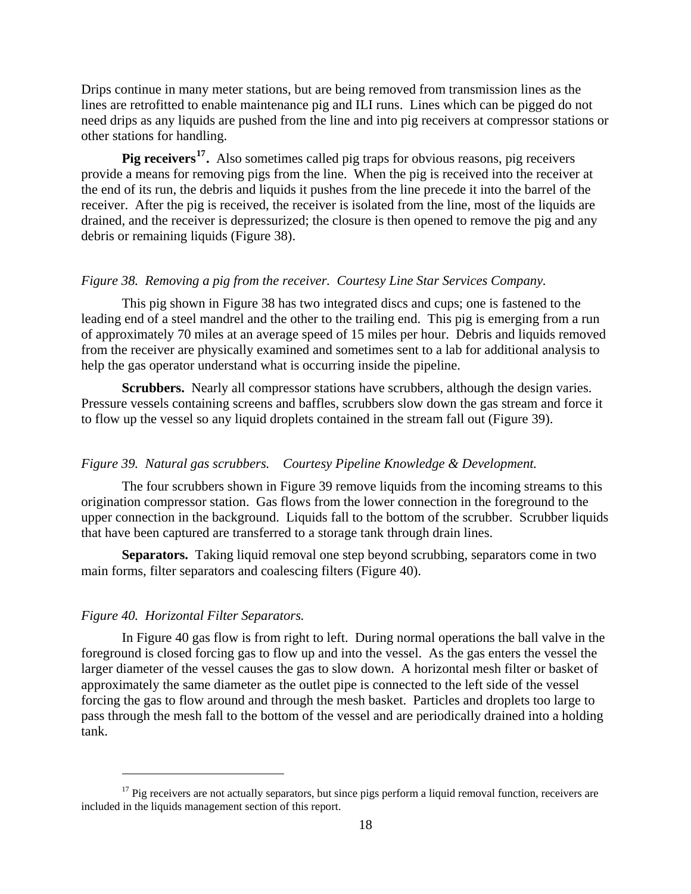Drips continue in many meter stations, but are being removed from transmission lines as the lines are retrofitted to enable maintenance pig and ILI runs. Lines which can be pigged do not need drips as any liquids are pushed from the line and into pig receivers at compressor stations or other stations for handling.

**Pig receivers[17](#page-17-0).** Also sometimes called pig traps for obvious reasons, pig receivers provide a means for removing pigs from the line. When the pig is received into the receiver at the end of its run, the debris and liquids it pushes from the line precede it into the barrel of the receiver. After the pig is received, the receiver is isolated from the line, most of the liquids are drained, and the receiver is depressurized; the closure is then opened to remove the pig and any debris or remaining liquids (Figure 38).

# *Figure 38. Removing a pig from the receiver. Courtesy Line Star Services Company.*

This pig shown in Figure 38 has two integrated discs and cups; one is fastened to the leading end of a steel mandrel and the other to the trailing end. This pig is emerging from a run of approximately 70 miles at an average speed of 15 miles per hour. Debris and liquids removed from the receiver are physically examined and sometimes sent to a lab for additional analysis to help the gas operator understand what is occurring inside the pipeline.

**Scrubbers.** Nearly all compressor stations have scrubbers, although the design varies. Pressure vessels containing screens and baffles, scrubbers slow down the gas stream and force it to flow up the vessel so any liquid droplets contained in the stream fall out (Figure 39).

#### *Figure 39. Natural gas scrubbers. Courtesy Pipeline Knowledge & Development.*

The four scrubbers shown in Figure 39 remove liquids from the incoming streams to this origination compressor station. Gas flows from the lower connection in the foreground to the upper connection in the background. Liquids fall to the bottom of the scrubber. Scrubber liquids that have been captured are transferred to a storage tank through drain lines.

**Separators.** Taking liquid removal one step beyond scrubbing, separators come in two main forms, filter separators and coalescing filters (Figure 40).

#### *Figure 40. Horizontal Filter Separators.*

 $\overline{a}$ 

In Figure 40 gas flow is from right to left. During normal operations the ball valve in the foreground is closed forcing gas to flow up and into the vessel. As the gas enters the vessel the larger diameter of the vessel causes the gas to slow down. A horizontal mesh filter or basket of approximately the same diameter as the outlet pipe is connected to the left side of the vessel forcing the gas to flow around and through the mesh basket. Particles and droplets too large to pass through the mesh fall to the bottom of the vessel and are periodically drained into a holding tank.

<span id="page-17-0"></span><sup>&</sup>lt;sup>17</sup> Pig receivers are not actually separators, but since pigs perform a liquid removal function, receivers are included in the liquids management section of this report.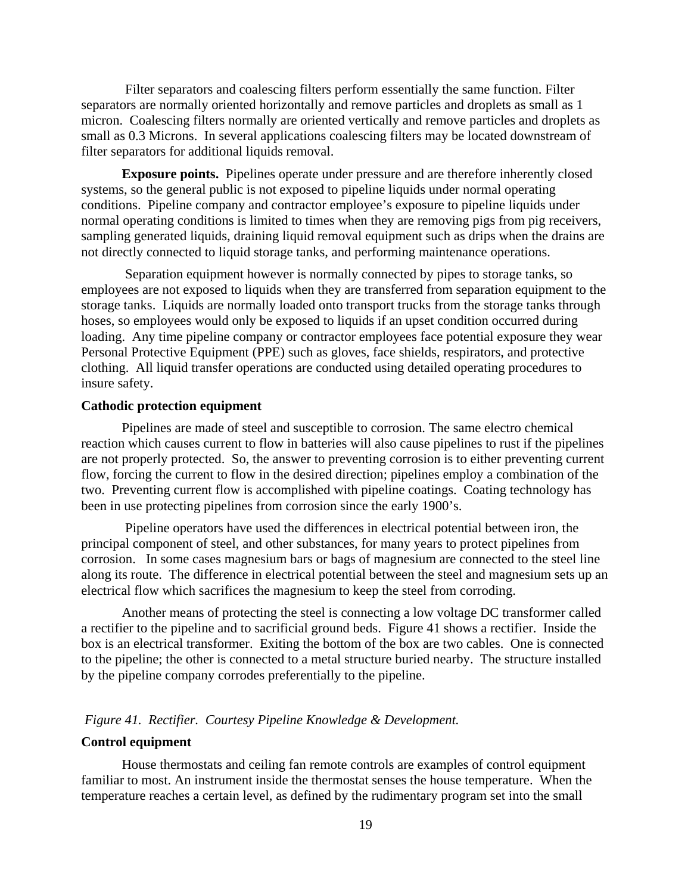Filter separators and coalescing filters perform essentially the same function. Filter separators are normally oriented horizontally and remove particles and droplets as small as 1 micron. Coalescing filters normally are oriented vertically and remove particles and droplets as small as 0.3 Microns. In several applications coalescing filters may be located downstream of filter separators for additional liquids removal.

**Exposure points.** Pipelines operate under pressure and are therefore inherently closed systems, so the general public is not exposed to pipeline liquids under normal operating conditions. Pipeline company and contractor employee's exposure to pipeline liquids under normal operating conditions is limited to times when they are removing pigs from pig receivers, sampling generated liquids, draining liquid removal equipment such as drips when the drains are not directly connected to liquid storage tanks, and performing maintenance operations.

 Separation equipment however is normally connected by pipes to storage tanks, so employees are not exposed to liquids when they are transferred from separation equipment to the storage tanks. Liquids are normally loaded onto transport trucks from the storage tanks through hoses, so employees would only be exposed to liquids if an upset condition occurred during loading. Any time pipeline company or contractor employees face potential exposure they wear Personal Protective Equipment (PPE) such as gloves, face shields, respirators, and protective clothing. All liquid transfer operations are conducted using detailed operating procedures to insure safety.

# **Cathodic protection equipment**

Pipelines are made of steel and susceptible to corrosion. The same electro chemical reaction which causes current to flow in batteries will also cause pipelines to rust if the pipelines are not properly protected. So, the answer to preventing corrosion is to either preventing current flow, forcing the current to flow in the desired direction; pipelines employ a combination of the two. Preventing current flow is accomplished with pipeline coatings. Coating technology has been in use protecting pipelines from corrosion since the early 1900's.

 Pipeline operators have used the differences in electrical potential between iron, the principal component of steel, and other substances, for many years to protect pipelines from corrosion. In some cases magnesium bars or bags of magnesium are connected to the steel line along its route. The difference in electrical potential between the steel and magnesium sets up an electrical flow which sacrifices the magnesium to keep the steel from corroding.

Another means of protecting the steel is connecting a low voltage DC transformer called a rectifier to the pipeline and to sacrificial ground beds. Figure 41 shows a rectifier. Inside the box is an electrical transformer. Exiting the bottom of the box are two cables. One is connected to the pipeline; the other is connected to a metal structure buried nearby. The structure installed by the pipeline company corrodes preferentially to the pipeline.

#### *Figure 41. Rectifier. Courtesy Pipeline Knowledge & Development.*

# **Control equipment**

House thermostats and ceiling fan remote controls are examples of control equipment familiar to most. An instrument inside the thermostat senses the house temperature. When the temperature reaches a certain level, as defined by the rudimentary program set into the small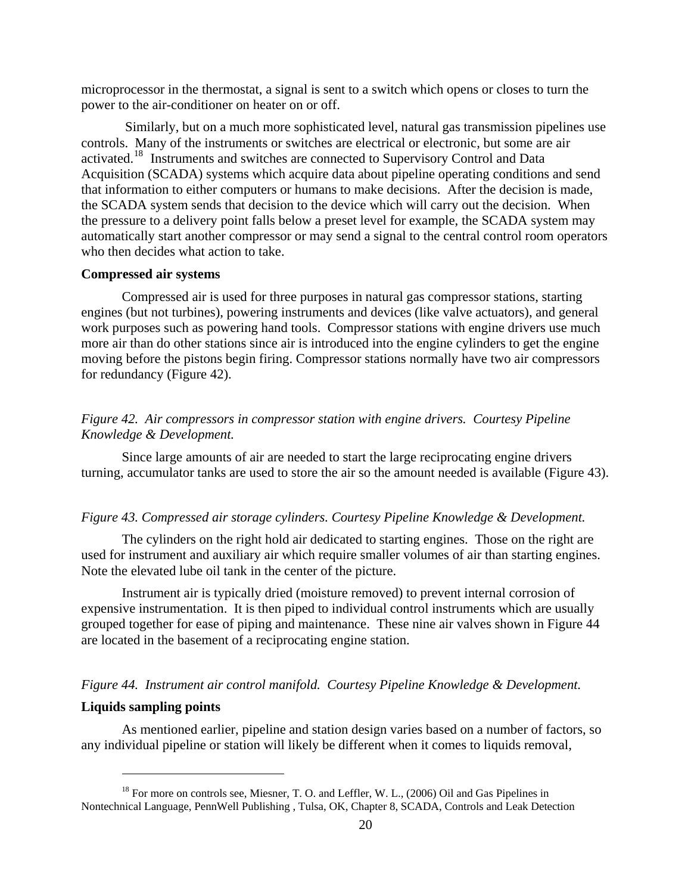microprocessor in the thermostat, a signal is sent to a switch which opens or closes to turn the power to the air-conditioner on heater on or off.

 Similarly, but on a much more sophisticated level, natural gas transmission pipelines use controls. Many of the instruments or switches are electrical or electronic, but some are air activated.[18](#page-19-0) Instruments and switches are connected to Supervisory Control and Data Acquisition (SCADA) systems which acquire data about pipeline operating conditions and send that information to either computers or humans to make decisions. After the decision is made, the SCADA system sends that decision to the device which will carry out the decision. When the pressure to a delivery point falls below a preset level for example, the SCADA system may automatically start another compressor or may send a signal to the central control room operators who then decides what action to take.

#### **Compressed air systems**

Compressed air is used for three purposes in natural gas compressor stations, starting engines (but not turbines), powering instruments and devices (like valve actuators), and general work purposes such as powering hand tools. Compressor stations with engine drivers use much more air than do other stations since air is introduced into the engine cylinders to get the engine moving before the pistons begin firing. Compressor stations normally have two air compressors for redundancy (Figure 42).

# *Figure 42. Air compressors in compressor station with engine drivers. Courtesy Pipeline Knowledge & Development.*

Since large amounts of air are needed to start the large reciprocating engine drivers turning, accumulator tanks are used to store the air so the amount needed is available (Figure 43).

## *Figure 43. Compressed air storage cylinders. Courtesy Pipeline Knowledge & Development.*

The cylinders on the right hold air dedicated to starting engines. Those on the right are used for instrument and auxiliary air which require smaller volumes of air than starting engines. Note the elevated lube oil tank in the center of the picture.

Instrument air is typically dried (moisture removed) to prevent internal corrosion of expensive instrumentation. It is then piped to individual control instruments which are usually grouped together for ease of piping and maintenance. These nine air valves shown in Figure 44 are located in the basement of a reciprocating engine station.

#### *Figure 44. Instrument air control manifold. Courtesy Pipeline Knowledge & Development.*

#### **Liquids sampling points**

 $\overline{a}$ 

As mentioned earlier, pipeline and station design varies based on a number of factors, so any individual pipeline or station will likely be different when it comes to liquids removal,

<span id="page-19-0"></span><sup>&</sup>lt;sup>18</sup> For more on controls see, Miesner, T. O. and Leffler, W. L., (2006) Oil and Gas Pipelines in Nontechnical Language, PennWell Publishing , Tulsa, OK, Chapter 8, SCADA, Controls and Leak Detection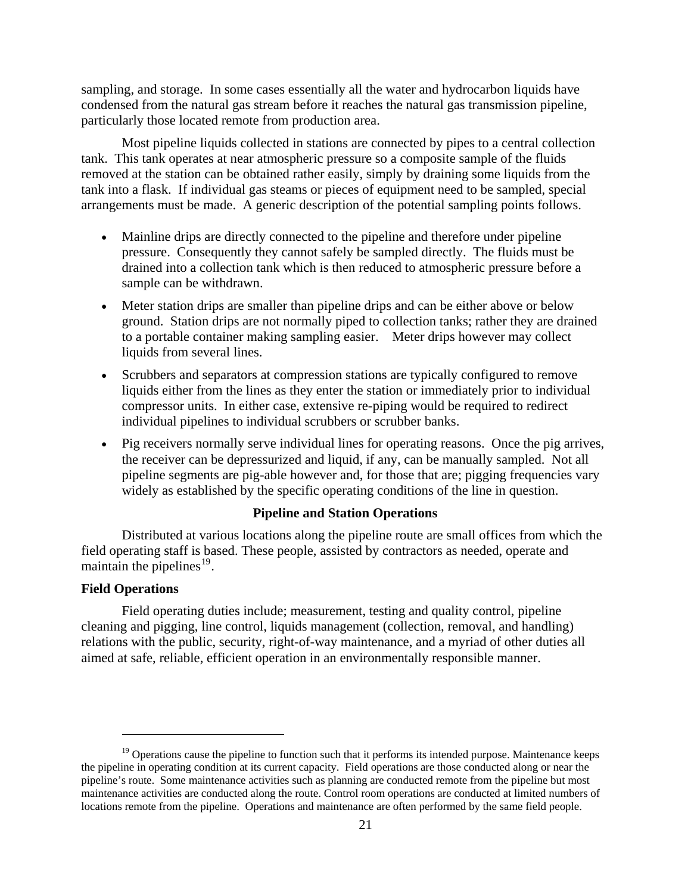sampling, and storage. In some cases essentially all the water and hydrocarbon liquids have condensed from the natural gas stream before it reaches the natural gas transmission pipeline, particularly those located remote from production area.

Most pipeline liquids collected in stations are connected by pipes to a central collection tank. This tank operates at near atmospheric pressure so a composite sample of the fluids removed at the station can be obtained rather easily, simply by draining some liquids from the tank into a flask. If individual gas steams or pieces of equipment need to be sampled, special arrangements must be made. A generic description of the potential sampling points follows.

- Mainline drips are directly connected to the pipeline and therefore under pipeline pressure. Consequently they cannot safely be sampled directly. The fluids must be drained into a collection tank which is then reduced to atmospheric pressure before a sample can be withdrawn.
- Meter station drips are smaller than pipeline drips and can be either above or below ground. Station drips are not normally piped to collection tanks; rather they are drained to a portable container making sampling easier. Meter drips however may collect liquids from several lines.
- Scrubbers and separators at compression stations are typically configured to remove liquids either from the lines as they enter the station or immediately prior to individual compressor units. In either case, extensive re-piping would be required to redirect individual pipelines to individual scrubbers or scrubber banks.
- Pig receivers normally serve individual lines for operating reasons. Once the pig arrives, the receiver can be depressurized and liquid, if any, can be manually sampled. Not all pipeline segments are pig-able however and, for those that are; pigging frequencies vary widely as established by the specific operating conditions of the line in question.

#### **Pipeline and Station Operations**

Distributed at various locations along the pipeline route are small offices from which the field operating staff is based. These people, assisted by contractors as needed, operate and maintain the pipelines $^{19}$  $^{19}$  $^{19}$ .

# **Field Operations**

 $\overline{a}$ 

Field operating duties include; measurement, testing and quality control, pipeline cleaning and pigging, line control, liquids management (collection, removal, and handling) relations with the public, security, right-of-way maintenance, and a myriad of other duties all aimed at safe, reliable, efficient operation in an environmentally responsible manner.

<span id="page-20-0"></span> $19$  Operations cause the pipeline to function such that it performs its intended purpose. Maintenance keeps the pipeline in operating condition at its current capacity. Field operations are those conducted along or near the pipeline's route. Some maintenance activities such as planning are conducted remote from the pipeline but most maintenance activities are conducted along the route. Control room operations are conducted at limited numbers of locations remote from the pipeline. Operations and maintenance are often performed by the same field people.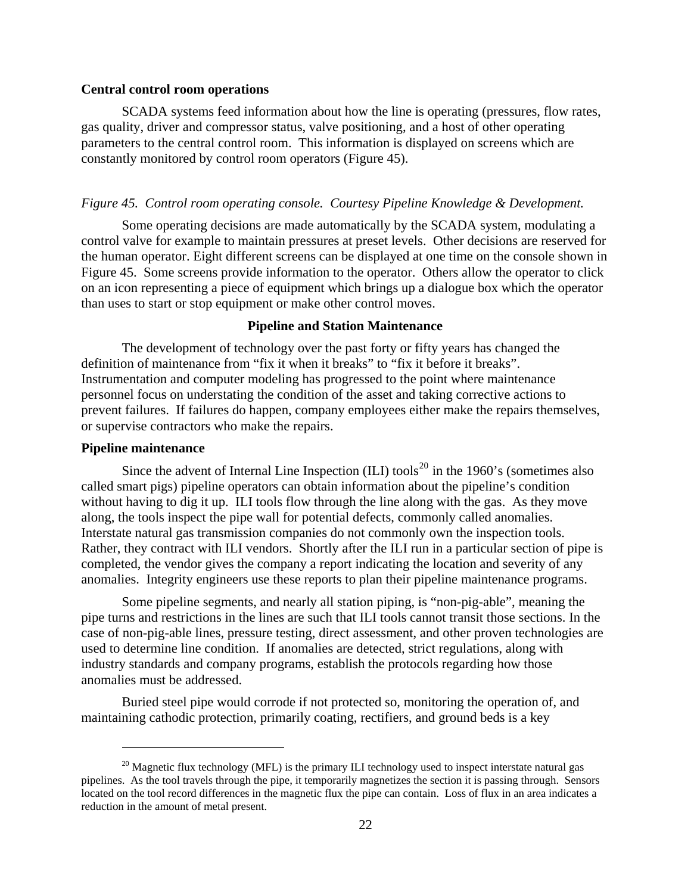#### **Central control room operations**

SCADA systems feed information about how the line is operating (pressures, flow rates, gas quality, driver and compressor status, valve positioning, and a host of other operating parameters to the central control room. This information is displayed on screens which are constantly monitored by control room operators (Figure 45).

#### *Figure 45. Control room operating console. Courtesy Pipeline Knowledge & Development.*

Some operating decisions are made automatically by the SCADA system, modulating a control valve for example to maintain pressures at preset levels. Other decisions are reserved for the human operator. Eight different screens can be displayed at one time on the console shown in Figure 45. Some screens provide information to the operator. Others allow the operator to click on an icon representing a piece of equipment which brings up a dialogue box which the operator than uses to start or stop equipment or make other control moves.

#### **Pipeline and Station Maintenance**

The development of technology over the past forty or fifty years has changed the definition of maintenance from "fix it when it breaks" to "fix it before it breaks". Instrumentation and computer modeling has progressed to the point where maintenance personnel focus on understating the condition of the asset and taking corrective actions to prevent failures. If failures do happen, company employees either make the repairs themselves, or supervise contractors who make the repairs.

#### **Pipeline maintenance**

 $\overline{a}$ 

Since the advent of Internal Line Inspection  $(III)$  tools<sup>[20](#page-21-0)</sup> in the 1960's (sometimes also called smart pigs) pipeline operators can obtain information about the pipeline's condition without having to dig it up. ILI tools flow through the line along with the gas. As they move along, the tools inspect the pipe wall for potential defects, commonly called anomalies. Interstate natural gas transmission companies do not commonly own the inspection tools. Rather, they contract with ILI vendors. Shortly after the ILI run in a particular section of pipe is completed, the vendor gives the company a report indicating the location and severity of any anomalies. Integrity engineers use these reports to plan their pipeline maintenance programs.

Some pipeline segments, and nearly all station piping, is "non-pig-able", meaning the pipe turns and restrictions in the lines are such that ILI tools cannot transit those sections. In the case of non-pig-able lines, pressure testing, direct assessment, and other proven technologies are used to determine line condition. If anomalies are detected, strict regulations, along with industry standards and company programs, establish the protocols regarding how those anomalies must be addressed.

Buried steel pipe would corrode if not protected so, monitoring the operation of, and maintaining cathodic protection, primarily coating, rectifiers, and ground beds is a key

<span id="page-21-0"></span> $^{20}$  Magnetic flux technology (MFL) is the primary ILI technology used to inspect interstate natural gas pipelines. As the tool travels through the pipe, it temporarily magnetizes the section it is passing through. Sensors located on the tool record differences in the magnetic flux the pipe can contain. Loss of flux in an area indicates a reduction in the amount of metal present.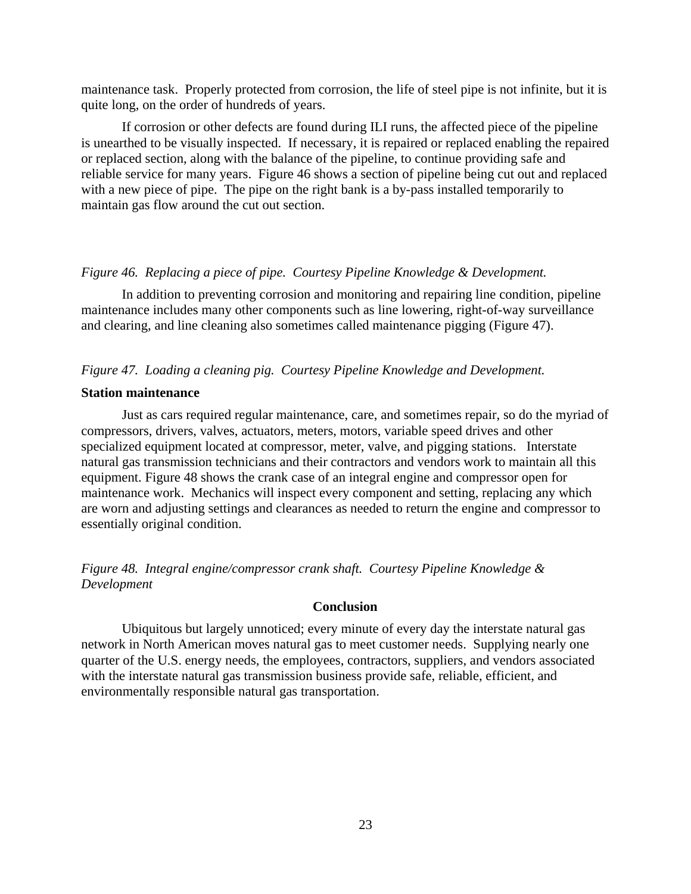maintenance task. Properly protected from corrosion, the life of steel pipe is not infinite, but it is quite long, on the order of hundreds of years.

If corrosion or other defects are found during ILI runs, the affected piece of the pipeline is unearthed to be visually inspected. If necessary, it is repaired or replaced enabling the repaired or replaced section, along with the balance of the pipeline, to continue providing safe and reliable service for many years. Figure 46 shows a section of pipeline being cut out and replaced with a new piece of pipe. The pipe on the right bank is a by-pass installed temporarily to maintain gas flow around the cut out section.

#### *Figure 46. Replacing a piece of pipe. Courtesy Pipeline Knowledge & Development.*

In addition to preventing corrosion and monitoring and repairing line condition, pipeline maintenance includes many other components such as line lowering, right-of-way surveillance and clearing, and line cleaning also sometimes called maintenance pigging (Figure 47).

#### *Figure 47. Loading a cleaning pig. Courtesy Pipeline Knowledge and Development.*

#### **Station maintenance**

Just as cars required regular maintenance, care, and sometimes repair, so do the myriad of compressors, drivers, valves, actuators, meters, motors, variable speed drives and other specialized equipment located at compressor, meter, valve, and pigging stations. Interstate natural gas transmission technicians and their contractors and vendors work to maintain all this equipment. Figure 48 shows the crank case of an integral engine and compressor open for maintenance work. Mechanics will inspect every component and setting, replacing any which are worn and adjusting settings and clearances as needed to return the engine and compressor to essentially original condition.

*Figure 48. Integral engine/compressor crank shaft. Courtesy Pipeline Knowledge & Development* 

#### **Conclusion**

Ubiquitous but largely unnoticed; every minute of every day the interstate natural gas network in North American moves natural gas to meet customer needs. Supplying nearly one quarter of the U.S. energy needs, the employees, contractors, suppliers, and vendors associated with the interstate natural gas transmission business provide safe, reliable, efficient, and environmentally responsible natural gas transportation.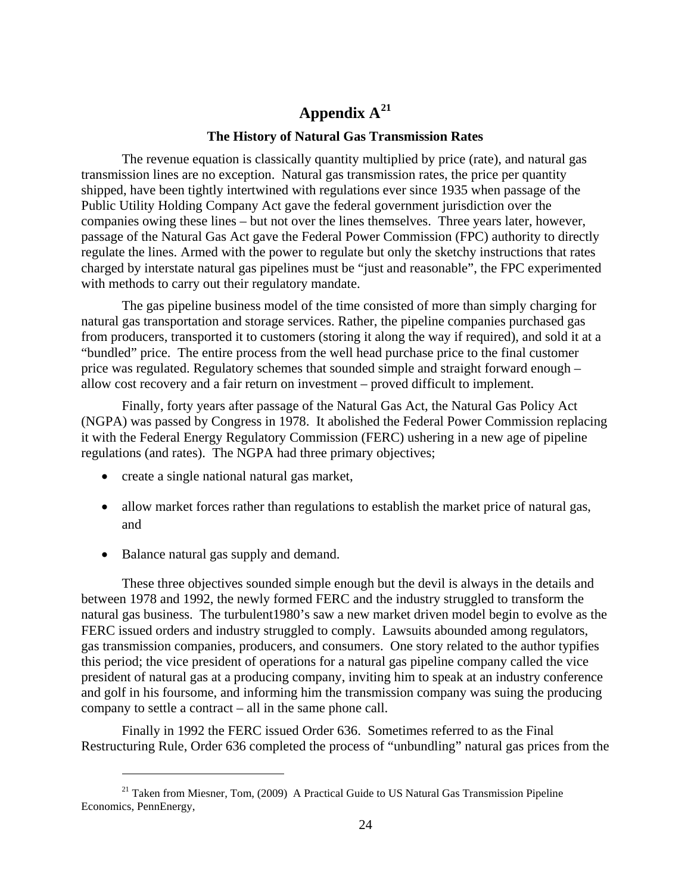# **Appendix A[21](#page-23-0)**

#### **The History of Natural Gas Transmission Rates**

The revenue equation is classically quantity multiplied by price (rate), and natural gas transmission lines are no exception. Natural gas transmission rates, the price per quantity shipped, have been tightly intertwined with regulations ever since 1935 when passage of the Public Utility Holding Company Act gave the federal government jurisdiction over the companies owing these lines – but not over the lines themselves. Three years later, however, passage of the Natural Gas Act gave the Federal Power Commission (FPC) authority to directly regulate the lines. Armed with the power to regulate but only the sketchy instructions that rates charged by interstate natural gas pipelines must be "just and reasonable", the FPC experimented with methods to carry out their regulatory mandate.

The gas pipeline business model of the time consisted of more than simply charging for natural gas transportation and storage services. Rather, the pipeline companies purchased gas from producers, transported it to customers (storing it along the way if required), and sold it at a "bundled" price. The entire process from the well head purchase price to the final customer price was regulated. Regulatory schemes that sounded simple and straight forward enough – allow cost recovery and a fair return on investment – proved difficult to implement.

Finally, forty years after passage of the Natural Gas Act, the Natural Gas Policy Act (NGPA) was passed by Congress in 1978. It abolished the Federal Power Commission replacing it with the Federal Energy Regulatory Commission (FERC) ushering in a new age of pipeline regulations (and rates). The NGPA had three primary objectives;

- create a single national natural gas market,
- allow market forces rather than regulations to establish the market price of natural gas, and
- Balance natural gas supply and demand.

 $\overline{a}$ 

These three objectives sounded simple enough but the devil is always in the details and between 1978 and 1992, the newly formed FERC and the industry struggled to transform the natural gas business. The turbulent1980's saw a new market driven model begin to evolve as the FERC issued orders and industry struggled to comply. Lawsuits abounded among regulators, gas transmission companies, producers, and consumers. One story related to the author typifies this period; the vice president of operations for a natural gas pipeline company called the vice president of natural gas at a producing company, inviting him to speak at an industry conference and golf in his foursome, and informing him the transmission company was suing the producing company to settle a contract – all in the same phone call.

Finally in 1992 the FERC issued Order 636. Sometimes referred to as the Final Restructuring Rule, Order 636 completed the process of "unbundling" natural gas prices from the

<span id="page-23-0"></span><sup>&</sup>lt;sup>21</sup> Taken from Miesner, Tom,  $(2009)$  A Practical Guide to US Natural Gas Transmission Pipeline Economics, PennEnergy,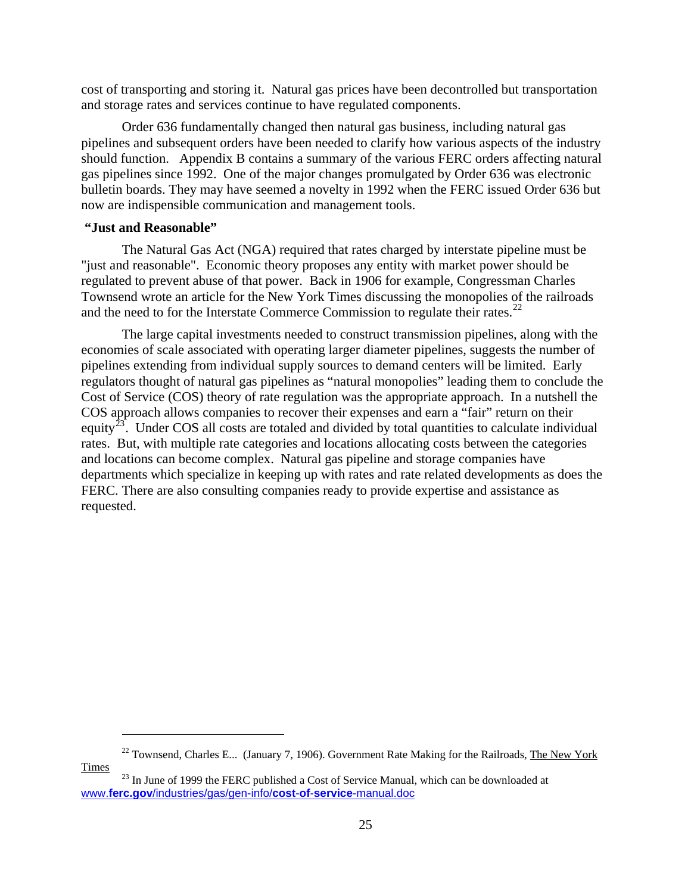cost of transporting and storing it. Natural gas prices have been decontrolled but transportation and storage rates and services continue to have regulated components.

Order 636 fundamentally changed then natural gas business, including natural gas pipelines and subsequent orders have been needed to clarify how various aspects of the industry should function. Appendix B contains a summary of the various FERC orders affecting natural gas pipelines since 1992. One of the major changes promulgated by Order 636 was electronic bulletin boards. They may have seemed a novelty in 1992 when the FERC issued Order 636 but now are indispensible communication and management tools.

# **"Just and Reasonable"**

 $\overline{a}$ 

The Natural Gas Act (NGA) required that rates charged by interstate pipeline must be "just and reasonable". Economic theory proposes any entity with market power should be regulated to prevent abuse of that power. Back in 1906 for example, Congressman Charles Townsend wrote an article for the New York Times discussing the monopolies of the railroads and the need to for the Interstate Commerce Commission to regulate their rates.<sup>[22](#page-24-0)</sup>

The large capital investments needed to construct transmission pipelines, along with the economies of scale associated with operating larger diameter pipelines, suggests the number of pipelines extending from individual supply sources to demand centers will be limited. Early regulators thought of natural gas pipelines as "natural monopolies" leading them to conclude the Cost of Service (COS) theory of rate regulation was the appropriate approach. In a nutshell the COS approach allows companies to recover their expenses and earn a "fair" return on their equity<sup>[23](#page-24-1)</sup>. Under COS all costs are totaled and divided by total quantities to calculate individual rates. But, with multiple rate categories and locations allocating costs between the categories and locations can become complex. Natural gas pipeline and storage companies have departments which specialize in keeping up with rates and rate related developments as does the FERC. There are also consulting companies ready to provide expertise and assistance as requested.

<span id="page-24-0"></span> $^{22}$  Townsend, Charles E... (January 7, 1906). Government Rate Making for the Railroads, The New York Times <sup>23</sup> In June of 1999 the FERC published a Cost of Service Manual, which can be downloaded at

<span id="page-24-1"></span>www.**ferc.gov**[/industries/gas/gen-info/](http://www.ferc.gov/industries/gas/gen-info/cost-of-service-manual.doc)**cost**-**of**-**service**-manual.doc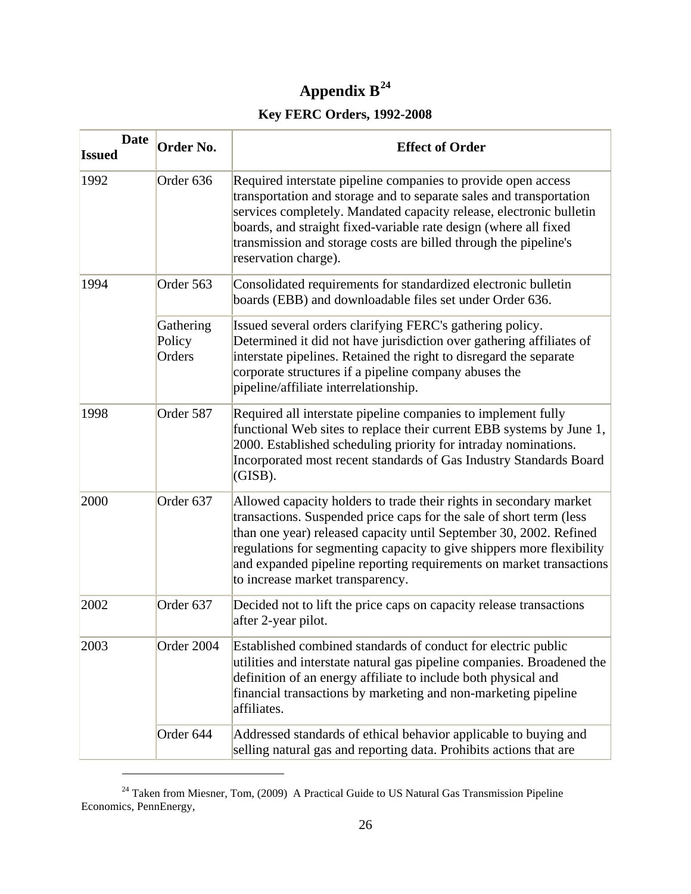# **Appendix B[24](#page-25-0)**

# **Key FERC Orders, 1992-2008**

| <b>Date</b><br><b>Issued</b> | Order No.                     | <b>Effect of Order</b>                                                                                                                                                                                                                                                                                                                                                                              |
|------------------------------|-------------------------------|-----------------------------------------------------------------------------------------------------------------------------------------------------------------------------------------------------------------------------------------------------------------------------------------------------------------------------------------------------------------------------------------------------|
| 1992                         | Order <sub>636</sub>          | Required interstate pipeline companies to provide open access<br>transportation and storage and to separate sales and transportation<br>services completely. Mandated capacity release, electronic bulletin<br>boards, and straight fixed-variable rate design (where all fixed<br>transmission and storage costs are billed through the pipeline's<br>reservation charge).                         |
| 1994                         | Order 563                     | Consolidated requirements for standardized electronic bulletin<br>boards (EBB) and downloadable files set under Order 636.                                                                                                                                                                                                                                                                          |
|                              | Gathering<br>Policy<br>Orders | Issued several orders clarifying FERC's gathering policy.<br>Determined it did not have jurisdiction over gathering affiliates of<br>interstate pipelines. Retained the right to disregard the separate<br>corporate structures if a pipeline company abuses the<br>pipeline/affiliate interrelationship.                                                                                           |
| 1998                         | Order 587                     | Required all interstate pipeline companies to implement fully<br>functional Web sites to replace their current EBB systems by June 1,<br>2000. Established scheduling priority for intraday nominations.<br>Incorporated most recent standards of Gas Industry Standards Board<br>(GISB).                                                                                                           |
| 2000                         | Order <sub>637</sub>          | Allowed capacity holders to trade their rights in secondary market<br>transactions. Suspended price caps for the sale of short term (less<br>than one year) released capacity until September 30, 2002. Refined<br>regulations for segmenting capacity to give shippers more flexibility<br>and expanded pipeline reporting requirements on market transactions<br>to increase market transparency. |
| 2002                         | Order <sub>637</sub>          | Decided not to lift the price caps on capacity release transactions<br>after 2-year pilot.                                                                                                                                                                                                                                                                                                          |
| 2003                         | Order 2004                    | Established combined standards of conduct for electric public<br>utilities and interstate natural gas pipeline companies. Broadened the<br>definition of an energy affiliate to include both physical and<br>financial transactions by marketing and non-marketing pipeline<br>affiliates.                                                                                                          |
|                              | Order 644                     | Addressed standards of ethical behavior applicable to buying and<br>selling natural gas and reporting data. Prohibits actions that are                                                                                                                                                                                                                                                              |

<span id="page-25-0"></span><sup>&</sup>lt;sup>24</sup> Taken from Miesner, Tom, (2009) A Practical Guide to US Natural Gas Transmission Pipeline Economics, PennEnergy,

 $\overline{a}$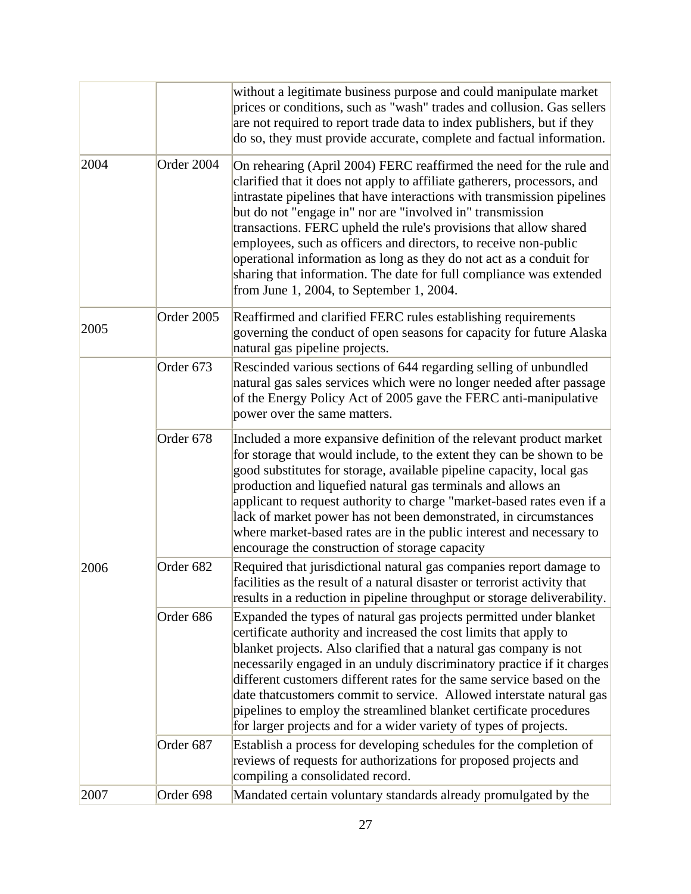|      |            | without a legitimate business purpose and could manipulate market<br>prices or conditions, such as "wash" trades and collusion. Gas sellers<br>are not required to report trade data to index publishers, but if they<br>do so, they must provide accurate, complete and factual information.                                                                                                                                                                                                                                                                                                                              |
|------|------------|----------------------------------------------------------------------------------------------------------------------------------------------------------------------------------------------------------------------------------------------------------------------------------------------------------------------------------------------------------------------------------------------------------------------------------------------------------------------------------------------------------------------------------------------------------------------------------------------------------------------------|
| 2004 | Order 2004 | On rehearing (April 2004) FERC reaffirmed the need for the rule and<br>clarified that it does not apply to affiliate gatherers, processors, and<br>intrastate pipelines that have interactions with transmission pipelines<br>but do not "engage in" nor are "involved in" transmission<br>transactions. FERC upheld the rule's provisions that allow shared<br>employees, such as officers and directors, to receive non-public<br>operational information as long as they do not act as a conduit for<br>sharing that information. The date for full compliance was extended<br>from June 1, 2004, to September 1, 2004. |
| 2005 | Order 2005 | Reaffirmed and clarified FERC rules establishing requirements<br>governing the conduct of open seasons for capacity for future Alaska<br>natural gas pipeline projects.                                                                                                                                                                                                                                                                                                                                                                                                                                                    |
|      | Order 673  | Rescinded various sections of 644 regarding selling of unbundled<br>natural gas sales services which were no longer needed after passage<br>of the Energy Policy Act of 2005 gave the FERC anti-manipulative<br>power over the same matters.                                                                                                                                                                                                                                                                                                                                                                               |
| 2006 | Order 678  | Included a more expansive definition of the relevant product market<br>for storage that would include, to the extent they can be shown to be<br>good substitutes for storage, available pipeline capacity, local gas<br>production and liquefied natural gas terminals and allows an<br>applicant to request authority to charge "market-based rates even if a<br>lack of market power has not been demonstrated, in circumstances<br>where market-based rates are in the public interest and necessary to<br>encourage the construction of storage capacity                                                               |
|      | Order 682  | Required that jurisdictional natural gas companies report damage to<br>facilities as the result of a natural disaster or terrorist activity that<br>results in a reduction in pipeline throughput or storage deliverability.                                                                                                                                                                                                                                                                                                                                                                                               |
|      | Order 686  | Expanded the types of natural gas projects permitted under blanket<br>certificate authority and increased the cost limits that apply to<br>blanket projects. Also clarified that a natural gas company is not<br>necessarily engaged in an unduly discriminatory practice if it charges<br>different customers different rates for the same service based on the<br>date that customers commit to service. Allowed interstate natural gas<br>pipelines to employ the streamlined blanket certificate procedures<br>for larger projects and for a wider variety of types of projects.                                       |
|      | Order 687  | Establish a process for developing schedules for the completion of<br>reviews of requests for authorizations for proposed projects and<br>compiling a consolidated record.                                                                                                                                                                                                                                                                                                                                                                                                                                                 |
| 2007 | Order 698  | Mandated certain voluntary standards already promulgated by the                                                                                                                                                                                                                                                                                                                                                                                                                                                                                                                                                            |